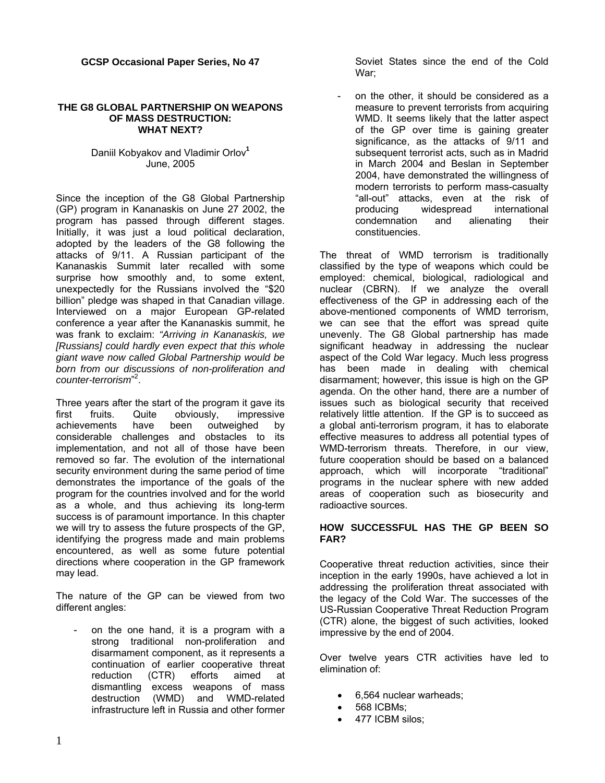**GCSP Occasional Paper Series, No 47** 

#### **THE G8 GLOBAL PARTNERSHIP ON WEAPONS OF MASS DESTRUCTION: WHAT NEXT?**

### Daniil Kobyakov and Vladimir Orlov**[1](#page-32-0)** June, 2005

Since the inception of the G8 Global Partnership (GP) program in Kananaskis on June 27 2002, the program has passed through different stages. Initially, it was just a loud political declaration, adopted by the leaders of the G8 following the attacks of 9/11. A Russian participant of the Kananaskis Summit later recalled with some surprise how smoothly and, to some extent, unexpectedly for the Russians involved the "\$20 billion" pledge was shaped in that Canadian village. Interviewed on a major European GP-related conference a year after the Kananaskis summit, he was frank to exclaim: *"Arriving in Kananaskis, we [Russians] could hardly even expect that this whole giant wave now called Global Partnership would be born from our discussions of non-proliferation and counter-terrorism*" 2 [.](#page-32-1)

Three years after the start of the program it gave its first fruits. Quite obviously, impressive achievements have been outweighed by considerable challenges and obstacles to its implementation, and not all of those have been removed so far. The evolution of the international security environment during the same period of time demonstrates the importance of the goals of the program for the countries involved and for the world as a whole, and thus achieving its long-term success is of paramount importance. In this chapter we will try to assess the future prospects of the GP, identifying the progress made and main problems encountered, as well as some future potential directions where cooperation in the GP framework may lead.

The nature of the GP can be viewed from two different angles:

on the one hand, it is a program with a strong traditional non-proliferation and disarmament component, as it represents a continuation of earlier cooperative threat reduction (CTR) efforts aimed at dismantling excess weapons of mass destruction (WMD) and WMD-related infrastructure left in Russia and other former

Soviet States since the end of the Cold War;

on the other, it should be considered as a measure to prevent terrorists from acquiring WMD. It seems likely that the latter aspect of the GP over time is gaining greater significance, as the attacks of 9/11 and subsequent terrorist acts, such as in Madrid in March 2004 and Beslan in September 2004, have demonstrated the willingness of modern terrorists to perform mass-casualty "all-out" attacks, even at the risk of producing widespread international condemnation and alienating their constituencies.

The threat of WMD terrorism is traditionally classified by the type of weapons which could be employed: chemical, biological, radiological and nuclear (CBRN). If we analyze the overall effectiveness of the GP in addressing each of the above-mentioned components of WMD terrorism, we can see that the effort was spread quite unevenly. The G8 Global partnership has made significant headway in addressing the nuclear aspect of the Cold War legacy. Much less progress has been made in dealing with chemical disarmament; however, this issue is high on the GP agenda. On the other hand, there are a number of issues such as biological security that received relatively little attention. If the GP is to succeed as a global anti-terrorism program, it has to elaborate effective measures to address all potential types of WMD-terrorism threats. Therefore, in our view, future cooperation should be based on a balanced approach, which will incorporate "traditional" programs in the nuclear sphere with new added areas of cooperation such as biosecurity and radioactive sources.

## **HOW SUCCESSFUL HAS THE GP BEEN SO FAR?**

Cooperative threat reduction activities, since their inception in the early 1990s, have achieved a lot in addressing the proliferation threat associated with the legacy of the Cold War. The successes of the US-Russian Cooperative Threat Reduction Program (CTR) alone, the biggest of such activities, looked impressive by the end of 2004.

Over twelve years CTR activities have led to elimination of:

- 6,564 nuclear warheads;
- 568 ICBMs;
- 477 ICBM silos;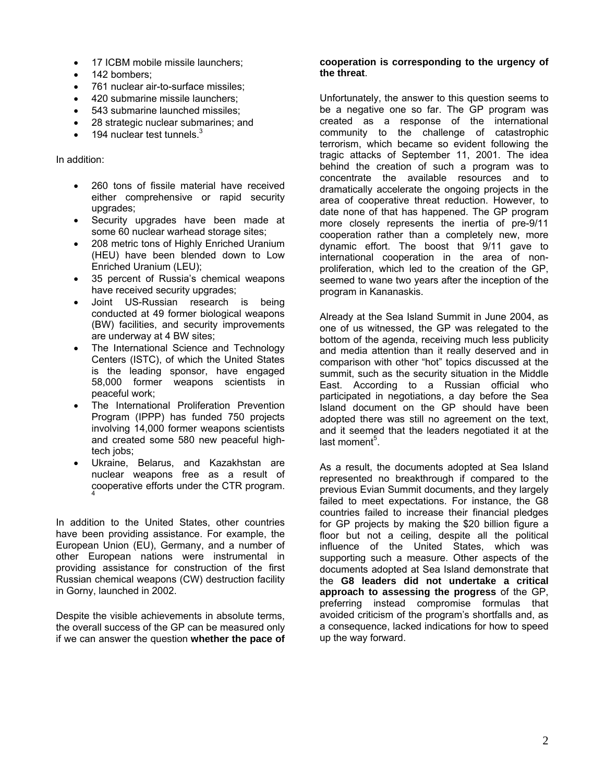- 17 ICBM mobile missile launchers:
- 142 bombers:
- 761 nuclear air-to-surface missiles;
- 420 submarine missile launchers;
- 543 submarine launched missiles;
- 28 strategic nuclear submarines; and
- 194 nuclear test tunnels. $3$

In addition:

- 260 tons of fissile material have received either comprehensive or rapid security upgrades;
- Security upgrades have been made at some 60 nuclear warhead storage sites;
- 208 metric tons of Highly Enriched Uranium (HEU) have been blended down to Low Enriched Uranium (LEU);
- 35 percent of Russia's chemical weapons have received security upgrades;
- Joint US-Russian research is being conducted at 49 former biological weapons (BW) facilities, and security improvements are underway at 4 BW sites;
- The International Science and Technology Centers (ISTC), of which the United States is the leading sponsor, have engaged 58,000 former weapons scientists in peaceful work;
- The International Proliferation Prevention Program (IPPP) has funded 750 projects involving 14,000 former weapons scientists and created some 580 new peaceful hightech jobs;
- Ukraine, Belarus, and Kazakhstan are nuclear weapons free as a result of cooperative efforts under the CTR program. [4](#page-32-3)

In addition to the United States, other countries have been providing assistance. For example, the European Union (EU), Germany, and a number of other European nations were instrumental in providing assistance for construction of the first Russian chemical weapons (CW) destruction facility in Gorny, launched in 2002.

Despite the visible achievements in absolute terms, the overall success of the GP can be measured only if we can answer the question **whether the pace of**

#### **cooperation is corresponding to the urgency of the threat**.

Unfortunately, the answer to this question seems to be a negative one so far. The GP program was created as a response of the international community to the challenge of catastrophic terrorism, which became so evident following the tragic attacks of September 11, 2001. The idea behind the creation of such a program was to concentrate the available resources and to dramatically accelerate the ongoing projects in the area of cooperative threat reduction. However, to date none of that has happened. The GP program more closely represents the inertia of pre-9/11 cooperation rather than a completely new, more dynamic effort. The boost that 9/11 gave to international cooperation in the area of nonproliferation, which led to the creation of the GP, seemed to wane two years after the inception of the program in Kananaskis.

Already at the Sea Island Summit in June 2004, as one of us witnessed, the GP was relegated to the bottom of the agenda, receiving much less publicity and media attention than it really deserved and in comparison with other "hot" topics discussed at the summit, such as the security situation in the Middle East. According to a Russian official who participated in negotiations, a day before the Sea Island document on the GP should have been adopted there was still no agreement on the text, and it seemed that the leaders negotiated it at the last moment<sup>5</sup>.

As a result, the documents adopted at Sea Island represented no breakthrough if compared to the previous Evian Summit documents, and they largely failed to meet expectations. For instance, the G8 countries failed to increase their financial pledges for GP projects by making the \$20 billion figure a floor but not a ceiling, despite all the political influence of the United States, which was supporting such a measure. Other aspects of the documents adopted at Sea Island demonstrate that the **G8 leaders did not undertake a critical approach to assessing the progress** of the GP, preferring instead compromise formulas that avoided criticism of the program's shortfalls and, as a consequence, lacked indications for how to speed up the way forward.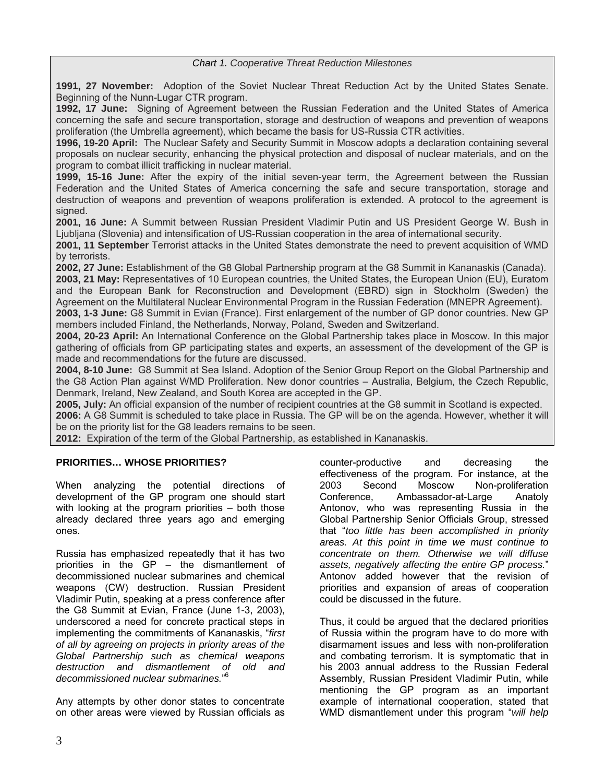#### *Chart 1. Cooperative Threat Reduction Milestones*

**1991, 27 November:** Adoption of the Soviet Nuclear Threat Reduction Act by the United States Senate. Beginning of the Nunn-Lugar CTR program.

**1992, 17 June:** Signing of Agreement between the Russian Federation and the United States of America concerning the safe and secure transportation, storage and destruction of weapons and prevention of weapons proliferation (the Umbrella agreement), which became the basis for US-Russia CTR activities.

**1996, 19-20 April:** The Nuclear Safety and Security Summit in Moscow adopts a declaration containing several proposals on nuclear security, enhancing the physical protection and disposal of nuclear materials, and on the program to combat illicit trafficking in nuclear material.

**1999, 15-16 June:** After the expiry of the initial seven-year term, the Agreement between the Russian Federation and the United States of America concerning the safe and secure transportation, storage and destruction of weapons and prevention of weapons proliferation is extended. A protocol to the agreement is signed.

**2001, 16 June:** A Summit between Russian President Vladimir Putin and US President George W. Bush in Ljubljana (Slovenia) and intensification of US-Russian cooperation in the area of international security.

**2001, 11 September** Terrorist attacks in the United States demonstrate the need to prevent acquisition of WMD by terrorists.

**2002, 27 June:** Establishment of the G8 Global Partnership program at the G8 Summit in Kananaskis (Canada). **2003, 21 May:** Representatives of 10 European countries, the United States, the European Union (EU), Euratom and the European Bank for Reconstruction and Development (EBRD) sign in Stockholm (Sweden) the Agreement on the Multilateral Nuclear Environmental Program in the Russian Federation (MNEPR Agreement).

**2003, 1-3 June:** G8 Summit in Evian (France). First enlargement of the number of GP donor countries. New GP members included Finland, the Netherlands, Norway, Poland, Sweden and Switzerland.

**2004, 20-23 April:** An International Conference on the Global Partnership takes place in Moscow. In this major gathering of officials from GP participating states and experts, an assessment of the development of the GP is made and recommendations for the future are discussed.

**2004, 8-10 June:** G8 Summit at Sea Island. Adoption of the Senior Group Report on the Global Partnership and the G8 Action Plan against WMD Proliferation. New donor countries – Australia, Belgium, the Czech Republic, Denmark, Ireland, New Zealand, and South Korea are accepted in the GP.

**2005, July:** An official expansion of the number of recipient countries at the G8 summit in Scotland is expected. **2006:** A G8 Summit is scheduled to take place in Russia. The GP will be on the agenda. However, whether it will be on the priority list for the G8 leaders remains to be seen.

**2012:** Expiration of the term of the Global Partnership, as established in Kananaskis.

#### **PRIORITIES… WHOSE PRIORITIES?**

When analyzing the potential directions of development of the GP program one should start with looking at the program priorities – both those already declared three years ago and emerging ones.

Russia has emphasized repeatedly that it has two priorities in the GP – the dismantlement of decommissioned nuclear submarines and chemical weapons (CW) destruction. Russian President Vladimir Putin, speaking at a press conference after the G8 Summit at Evian, France (June 1-3, 2003), underscored a need for concrete practical steps in implementing the commitments of Kananaskis, "*first of all by agreeing on projects in priority areas of the Global Partnership such as chemical weapons destruction and dismantlement of old and decommissioned nuclear submarines.*" [6](#page-32-5)

Any attempts by other donor states to concentrate on other areas were viewed by Russian officials as counter-productive and decreasing the effectiveness of the program. For instance, at the 2003 Second Moscow Non-proliferation Conference, Ambassador-at-Large Anatoly Antonov, who was representing Russia in the Global Partnership Senior Officials Group, stressed that "*too little has been accomplished in priority areas. At this point in time we must continue to concentrate on them. Otherwise we will diffuse assets, negatively affecting the entire GP process.*" Antonov added however that the revision of priorities and expansion of areas of cooperation could be discussed in the future.

Thus, it could be argued that the declared priorities of Russia within the program have to do more with disarmament issues and less with non-proliferation and combating terrorism. It is symptomatic that in his 2003 annual address to the Russian Federal Assembly, Russian President Vladimir Putin, while mentioning the GP program as an important example of international cooperation, stated that WMD dismantlement under this program "*will help*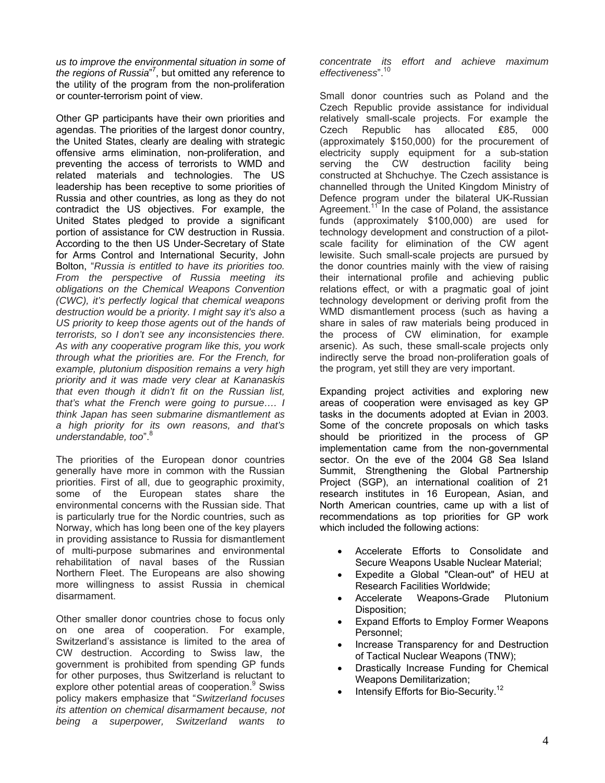*us to improve the environmental situation in some of the regions of Russia*" 7 [,](#page-32-6) but omitted any reference to the utility of the program from the non-proliferation or counter-terrorism point of view.

Other GP participants have their own priorities and agendas. The priorities of the largest donor country, the United States, clearly are dealing with strategic offensive arms elimination, non-proliferation, and preventing the access of terrorists to WMD and related materials and technologies. The US leadership has been receptive to some priorities of Russia and other countries, as long as they do not contradict the US objectives. For example, the United States pledged to provide a significant portion of assistance for CW destruction in Russia. According to the then US Under-Secretary of State for Arms Control and International Security, John Bolton, "*Russia is entitled to have its priorities too. From the perspective of Russia meeting its obligations on the Chemical Weapons Convention (CWC), it's perfectly logical that chemical weapons destruction would be a priority. I might say it's also a US priority to keep those agents out of the hands of terrorists, so I don't see any inconsistencies there. As with any cooperative program like this, you work through what the priorities are. For the French, for example, plutonium disposition remains a very high priority and it was made very clear at Kananaskis that even though it didn't fit on the Russian list, that's what the French were going to pursue…. I think Japan has seen submarine dismantlement as a high priority for its own reasons, and that's understandable, too*".

The priorities of the European donor countries generally have more in common with the Russian priorities. First of all, due to geographic proximity, some of the European states share the environmental concerns with the Russian side. That is particularly true for the Nordic countries, such as Norway, which has long been one of the key players in providing assistance to Russia for dismantlement of multi-purpose submarines and environmental rehabilitation of naval bases of the Russian Northern Fleet. The Europeans are also showing more willingness to assist Russia in chemical disarmament.

Other smaller donor countries chose to focus only on one area of cooperation. For example, Switzerland's assistance is limited to the area of CW destruction. According to Swiss law, the government is prohibited from spending GP funds for other purposes, thus Switzerland is reluctant to explore other potential areas of cooperation.<sup>[9](#page-32-8)</sup> Swiss policy makers emphasize that "*Switzerland focuses its attention on chemical disarmament because, not being a superpower, Switzerland wants to* 

*concentrate its effort and achieve maximum effectiveness*".[10](#page-32-9)

Small donor countries such as Poland and the Czech Republic provide assistance for individual relatively small-scale projects. For example the Czech Republic has allocated ₤85, 000 (approximately \$150,000) for the procurement of electricity supply equipment for a sub-station serving the CW destruction facility being constructed at Shchuchye. The Czech assistance is channelled through the United Kingdom Ministry of Defence program under the bilateral UK-Russian Agreement.<sup>11</sup> In the case of Poland, the assistance funds (approximately \$100,000) are used for technology development and construction of a pilotscale facility for elimination of the CW agent lewisite. Such small-scale projects are pursued by the donor countries mainly with the view of raising their international profile and achieving public relations effect, or with a pragmatic goal of joint technology development or deriving profit from the WMD dismantlement process (such as having a share in sales of raw materials being produced in the process of CW elimination, for example arsenic). As such, these small-scale projects only indirectly serve the broad non-proliferation goals of the program, yet still they are very important.

Expanding project activities and exploring new areas of cooperation were envisaged as key GP tasks in the documents adopted at Evian in 2003. Some of the concrete proposals on which tasks should be prioritized in the process of GP implementation came from the non-governmental sector. On the eve of the 2004 G8 Sea Island Summit, Strengthening the Global Partnership Project (SGP), an international coalition of 21 research institutes in 16 European, Asian, and North American countries, came up with a list of recommendations as top priorities for GP work which included the following actions:

- Accelerate Efforts to Consolidate and Secure Weapons Usable Nuclear Material;
- Expedite a Global "Clean-out" of HEU at Research Facilities Worldwide;
- Accelerate Weapons-Grade Plutonium Disposition;
- Expand Efforts to Employ Former Weapons Personnel;
- Increase Transparency for and Destruction of Tactical Nuclear Weapons (TNW);
- Drastically Increase Funding for Chemical Weapons Demilitarization;
- Intensify Efforts for Bio-Security.<sup>[12](#page-32-11)</sup>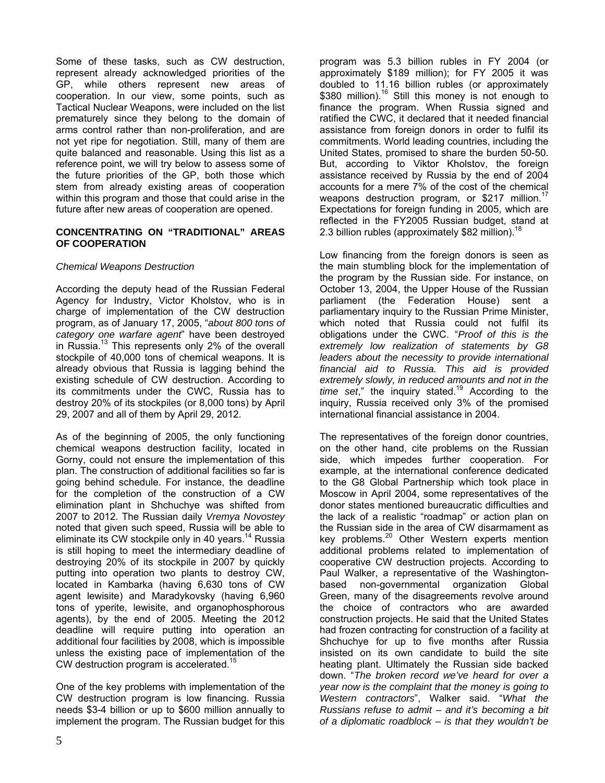Some of these tasks, such as CW destruction, represent already acknowledged priorities of the GP, while others represent new areas of cooperation. In our view, some points, such as Tactical Nuclear Weapons, were included on the list prematurely since they belong to the domain of arms control rather than non-proliferation, and are not yet ripe for negotiation. Still, many of them are quite balanced and reasonable. Using this list as a reference point, we will try below to assess some of the future priorities of the GP, both those which stem from already existing areas of cooperation within this program and those that could arise in the future after new areas of cooperation are opened.

#### **CONCENTRATING ON "TRADITIONAL" AREAS OF COOPERATION**

### *Chemical Weapons Destruction*

According the deputy head of the Russian Federal Agency for Industry, Victor Kholstov, who is in charge of implementation of the CW destruction program, as of January 17, 2005, "*about 800 tons of category one warfare agent*" have been destroyed in Russia. $13$  This represents only 2% of the overall stockpile of 40,000 tons of chemical weapons. It is already obvious that Russia is lagging behind the existing schedule of CW destruction. According to its commitments under the CWC, Russia has to destroy 20% of its stockpiles (or 8,000 tons) by April 29, 2007 and all of them by April 29, 2012.

As of the beginning of 2005, the only functioning chemical weapons destruction facility, located in Gorny, could not ensure the implementation of this plan. The construction of additional facilities so far is going behind schedule. For instance, the deadline for the completion of the construction of a CW elimination plant in Shchuchye was shifted from 2007 to 2012. The Russian daily *Vremya Novostey* noted that given such speed, Russia will be able to eliminate its CW stockpile only in 40 years.<sup>14</sup> Russia is still hoping to meet the intermediary deadline of destroying 20% of its stockpile in 2007 by quickly putting into operation two plants to destroy CW, located in Kambarka (having 6,630 tons of CW agent lewisite) and Maradykovsky (having 6,960 tons of yperite, lewisite, and organophosphorous agents), by the end of 2005. Meeting the 2012 deadline will require putting into operation an additional four facilities by 2008, which is impossible unless the existing pace of implementation of the CW destruction program is accelerated.<sup>[15](#page-32-14)</sup>

One of the key problems with implementation of the CW destruction program is low financing. Russia needs \$3-4 billion or up to \$600 million annually to implement the program. The Russian budget for this

program was 5.3 billion rubles in FY 2004 (or approximately \$189 million); for FY 2005 it was doubled to 11.16 billion rubles (or approximately \$380 million).<sup>16</sup> Still this money is not enough to finance the program. When Russia signed and ratified the CWC, it declared that it needed financial assistance from foreign donors in order to fulfil its commitments. World leading countries, including the United States, promised to share the burden 50-50. But, according to Viktor Kholstov, the foreign assistance received by Russia by the end of 2004 accounts for a mere 7% of the cost of the chemical weapons destruction program, or \$217 million.<sup>1</sup> Expectations for foreign funding in 2005, which are reflected in the FY2005 Russian budget, stand at 2.3 billion rubles (approximately \$82 million).<sup>1</sup>

Low financing from the foreign donors is seen as the main stumbling block for the implementation of the program by the Russian side. For instance, on October 13, 2004, the Upper House of the Russian parliament (the Federation House) sent a parliamentary inquiry to the Russian Prime Minister, which noted that Russia could not fulfil its obligations under the CWC. "*Proof of this is the extremely low realization of statements by G8 leaders about the necessity to provide international financial aid to Russia. This aid is provided extremely slowly, in reduced amounts and not in the time set*," the inquiry stated.[19](#page-32-18) According to the inquiry, Russia received only 3% of the promised international financial assistance in 2004.

The representatives of the foreign donor countries, on the other hand, cite problems on the Russian side, which impedes further cooperation. For example, at the international conference dedicated to the G8 Global Partnership which took place in Moscow in April 2004, some representatives of the donor states mentioned bureaucratic difficulties and the lack of a realistic "roadmap" or action plan on the Russian side in the area of CW disarmament as key problems.<sup>20</sup> Other Western experts mention additional problems related to implementation of cooperative CW destruction projects. According to Paul Walker, a representative of the Washingtonbased non-governmental organization Global Green, many of the disagreements revolve around the choice of contractors who are awarded construction projects. He said that the United States had frozen contracting for construction of a facility at Shchuchye for up to five months after Russia insisted on its own candidate to build the site heating plant. Ultimately the Russian side backed down. "*The broken record we've heard for over a year now is the complaint that the money is going to Western contractors*", Walker said. "*What the Russians refuse to admit – and it's becoming a bit of a diplomatic roadblock – is that they wouldn't be*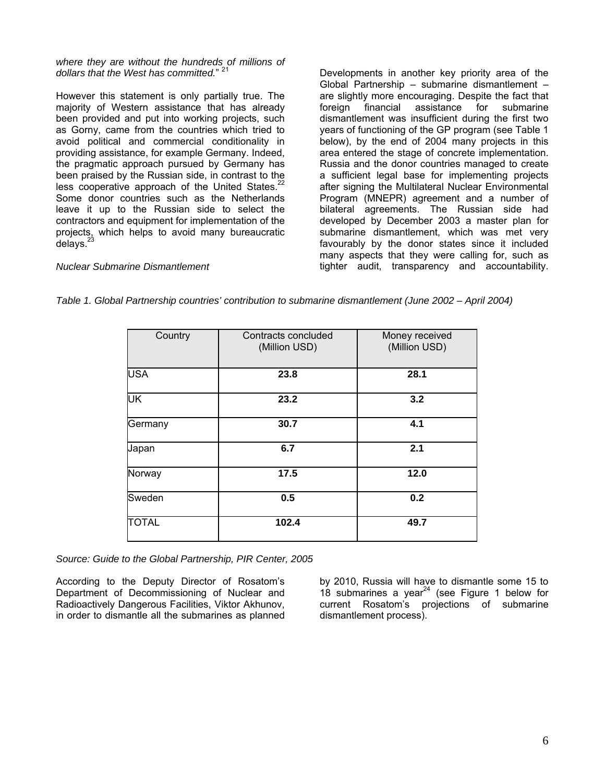*where they are without the hundreds of millions of dollars that the West has committed.*" [21](#page-32-20)

However this statement is only partially true. The majority of Western assistance that has already been provided and put into working projects, such as Gorny, came from the countries which tried to avoid political and commercial conditionality in providing assistance, for example Germany. Indeed, the pragmatic approach pursued by Germany has been praised by the Russian side, in contrast to the less cooperative approach of the United States.<sup>22</sup> Some donor countries such as the Netherlands leave it up to the Russian side to select the contractors and equipment for implementation of the projects, which helps to avoid many bureaucratic delays. $23$ 

Developments in another key priority area of the Global Partnership – submarine dismantlement – are slightly more encouraging. Despite the fact that foreign financial assistance for submarine dismantlement was insufficient during the first two years of functioning of the GP program (see Table 1 below), by the end of 2004 many projects in this area entered the stage of concrete implementation. Russia and the donor countries managed to create a sufficient legal base for implementing projects after signing the Multilateral Nuclear Environmental Program (MNEPR) agreement and a number of bilateral agreements. The Russian side had developed by December 2003 a master plan for submarine dismantlement, which was met very favourably by the donor states since it included many aspects that they were calling for, such as tighter audit, transparency and accountability.

*Nuclear Submarine Dismantlement* 

| Table 1. Global Partnership countries' contribution to submarine dismantlement (June 2002 - April 2004) |  |  |  |
|---------------------------------------------------------------------------------------------------------|--|--|--|
|---------------------------------------------------------------------------------------------------------|--|--|--|

| Country      | Contracts concluded<br>(Million USD) | Money received<br>(Million USD) |
|--------------|--------------------------------------|---------------------------------|
| <b>USA</b>   | 23.8                                 | 28.1                            |
| UK           | 23.2                                 | 3.2                             |
| Germany      | 30.7                                 | 4.1                             |
| Japan        | 6.7                                  | 2.1                             |
| Norway       | 17.5                                 | 12.0                            |
| Sweden       | 0.5                                  | 0.2                             |
| <b>TOTAL</b> | 102.4                                | 49.7                            |

*Source: Guide to the Global Partnership, PIR Center, 2005* 

According to the Deputy Director of Rosatom's Department of Decommissioning of Nuclear and Radioactively Dangerous Facilities, Viktor Akhunov, in order to dismantle all the submarines as planned

by 2010, Russia will have to dismantle some 15 to  $18$  submarines a year<sup>24</sup> (see Figure 1 below for current Rosatom's projections of submarine dismantlement process).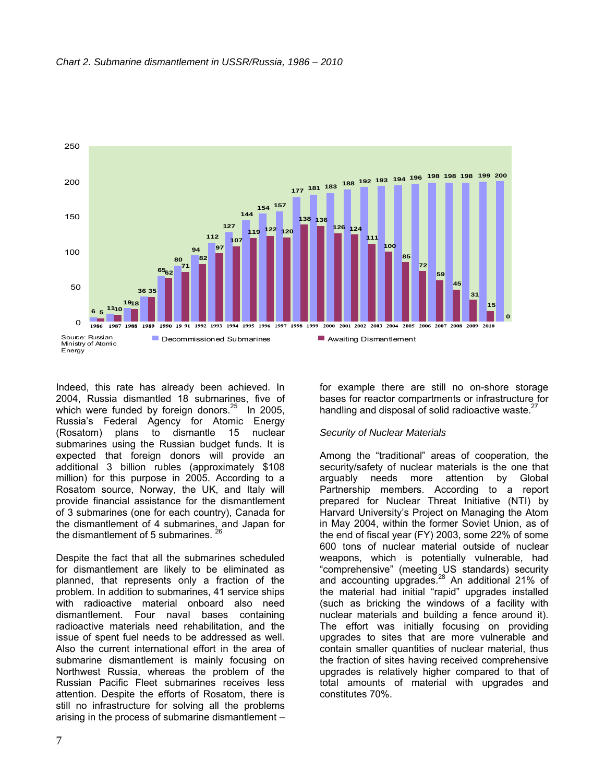

Indeed, this rate has already been achieved. In 2004, Russia dismantled 18 submarines, five of which were funded by foreign donors. $25$  In 2005, Russia's Federal Agency for Atomic Energy (Rosatom) plans to dismantle 15 nuclear submarines using the Russian budget funds. It is expected that foreign donors will provide an additional 3 billion rubles (approximately \$108 million) for this purpose in 2005. According to a Rosatom source, Norway, the UK, and Italy will provide financial assistance for the dismantlement of 3 submarines (one for each country), Canada for the dismantlement of 4 submarines, and Japan for the dismantlement of 5 submarines.  $2^2$ 

Despite the fact that all the submarines scheduled for dismantlement are likely to be eliminated as planned, that represents only a fraction of the problem. In addition to submarines, 41 service ships with radioactive material onboard also need dismantlement. Four naval bases containing radioactive materials need rehabilitation, and the issue of spent fuel needs to be addressed as well. Also the current international effort in the area of submarine dismantlement is mainly focusing on Northwest Russia, whereas the problem of the Russian Pacific Fleet submarines receives less attention. Despite the efforts of Rosatom, there is still no infrastructure for solving all the problems arising in the process of submarine dismantlement –

for example there are still no on-shore storage bases for reactor compartments or infrastructure for handling and disposal of solid radioactive waste. $27$ 

#### *Security of Nuclear Materials*

Among the "traditional" areas of cooperation, the security/safety of nuclear materials is the one that arguably needs more attention by Global Partnership members. According to a report prepared for Nuclear Threat Initiative (NTI) by Harvard University's Project on Managing the Atom in May 2004, within the former Soviet Union, as of the end of fiscal year (FY) 2003, some 22% of some 600 tons of nuclear material outside of nuclear weapons, which is potentially vulnerable, had "comprehensive" (meeting US standards) security and accounting upgrades.<sup>28</sup> An additional 21% of the material had initial "rapid" upgrades installed (such as bricking the windows of a facility with nuclear materials and building a fence around it). The effort was initially focusing on providing upgrades to sites that are more vulnerable and contain smaller quantities of nuclear material, thus the fraction of sites having received comprehensive upgrades is relatively higher compared to that of total amounts of material with upgrades and constitutes 70%.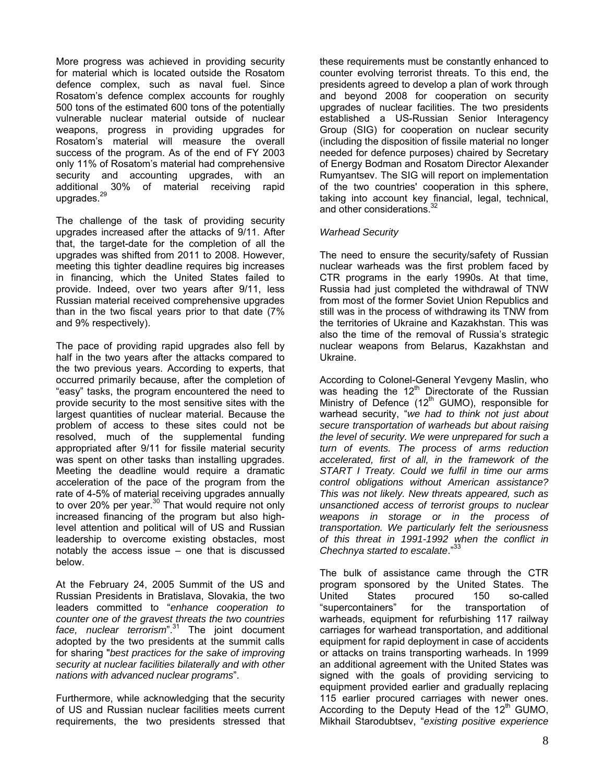More progress was achieved in providing security for material which is located outside the Rosatom defence complex, such as naval fuel. Since Rosatom's defence complex accounts for roughly 500 tons of the estimated 600 tons of the potentially vulnerable nuclear material outside of nuclear weapons, progress in providing upgrades for Rosatom's material will measure the overall success of the program. As of the end of FY 2003 only 11% of Rosatom's material had comprehensive security and accounting upgrades, with an additional 30% of material receiving rapid upgrades.<sup>29</sup>

The challenge of the task of providing security upgrades increased after the attacks of 9/11. After that, the target-date for the completion of all the upgrades was shifted from 2011 to 2008. However, meeting this tighter deadline requires big increases in financing, which the United States failed to provide. Indeed, over two years after 9/11, less Russian material received comprehensive upgrades than in the two fiscal years prior to that date (7% and 9% respectively).

The pace of providing rapid upgrades also fell by half in the two years after the attacks compared to the two previous years. According to experts, that occurred primarily because, after the completion of "easy" tasks, the program encountered the need to provide security to the most sensitive sites with the largest quantities of nuclear material. Because the problem of access to these sites could not be resolved, much of the supplemental funding appropriated after 9/11 for fissile material security was spent on other tasks than installing upgrades. Meeting the deadline would require a dramatic acceleration of the pace of the program from the rate of 4-5% of material receiving upgrades annually to over 20% per year.<sup>30</sup> That would require not only increased financing of the program but also highlevel attention and political will of US and Russian leadership to overcome existing obstacles, most notably the access issue – one that is discussed below.

At the February 24, 2005 Summit of the US and Russian Presidents in Bratislava, Slovakia, the two leaders committed to "*enhance cooperation to counter one of the gravest threats the two countries face, nuclear terrorism*".[31](#page-32-30) The joint document adopted by the two presidents at the summit calls for sharing "*best practices for the sake of improving security at nuclear facilities bilaterally and with other nations with advanced nuclear programs*".

Furthermore, while acknowledging that the security of US and Russian nuclear facilities meets current requirements, the two presidents stressed that

these requirements must be constantly enhanced to counter evolving terrorist threats. To this end, the presidents agreed to develop a plan of work through and beyond 2008 for cooperation on security upgrades of nuclear facilities. The two presidents established a US-Russian Senior Interagency Group (SIG) for cooperation on nuclear security (including the disposition of fissile material no longer needed for defence purposes) chaired by Secretary of Energy Bodman and Rosatom Director Alexander Rumyantsev. The SIG will report on implementation of the two countries' cooperation in this sphere, taking into account key financial, legal, technical, and other considerations. [32](#page-32-31) 

#### *Warhead Security*

The need to ensure the security/safety of Russian nuclear warheads was the first problem faced by CTR programs in the early 1990s. At that time, Russia had just completed the withdrawal of TNW from most of the former Soviet Union Republics and still was in the process of withdrawing its TNW from the territories of Ukraine and Kazakhstan. This was also the time of the removal of Russia's strategic nuclear weapons from Belarus, Kazakhstan and Ukraine.

According to Colonel-General Yevgeny Maslin, who was heading the 12<sup>th</sup> Directorate of the Russian Ministry of Defence  $(12<sup>th</sup>$  GUMO), responsible for warhead security, "*we had to think not just about secure transportation of warheads but about raising the level of security. We were unprepared for such a turn of events. The process of arms reduction accelerated, first of all, in the framework of the START I Treaty. Could we fulfil in time our arms control obligations without American assistance? This was not likely. New threats appeared, such as unsanctioned access of terrorist groups to nuclear weapons in storage or in the process of transportation. We particularly felt the seriousness of this threat in 1991-1992 when the conflict in Chechnya started to escalate*."[33](#page-32-32)

The bulk of assistance came through the CTR program sponsored by the United States. The United States procured 150 so-called "supercontainers" for the transportation of warheads, equipment for refurbishing 117 railway carriages for warhead transportation, and additional equipment for rapid deployment in case of accidents or attacks on trains transporting warheads. In 1999 an additional agreement with the United States was signed with the goals of providing servicing to equipment provided earlier and gradually replacing 115 earlier procured carriages with newer ones. According to the Deputy Head of the  $12<sup>th</sup>$  GUMO, Mikhail Starodubtsev, "*existing positive experience*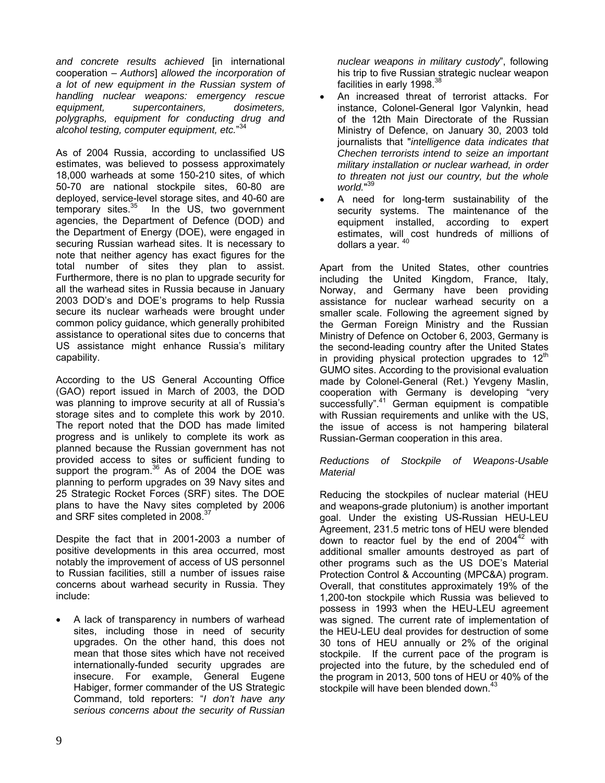*and concrete results achieved* [in international cooperation – *Authors*] *allowed the incorporation of a lot of new equipment in the Russian system of handling nuclear weapons: emergency rescue equipment, supercontainers, dosimeters, polygraphs, equipment for conducting drug and alcohol testing, computer equipment, etc.*" [34](#page-32-33)

As of 2004 Russia, according to unclassified US estimates, was believed to possess approximately 18,000 warheads at some 150-210 sites, of which 50-70 are national stockpile sites, 60-80 are deployed, service-level storage sites, and 40-60 are temporary sites. $35$  In the US, two government agencies, the Department of Defence (DOD) and the Department of Energy (DOE), were engaged in securing Russian warhead sites. It is necessary to note that neither agency has exact figures for the total number of sites they plan to assist. Furthermore, there is no plan to upgrade security for all the warhead sites in Russia because in January 2003 DOD's and DOE's programs to help Russia secure its nuclear warheads were brought under common policy guidance, which generally prohibited assistance to operational sites due to concerns that US assistance might enhance Russia's military capability.

According to the US General Accounting Office (GAO) report issued in March of 2003, the DOD was planning to improve security at all of Russia's storage sites and to complete this work by 2010. The report noted that the DOD has made limited progress and is unlikely to complete its work as planned because the Russian government has not provided access to sites or sufficient funding to support the program. $36$  As of 2004 the DOE was planning to perform upgrades on 39 Navy sites and 25 Strategic Rocket Forces (SRF) sites. The DOE plans to have the Navy sites completed by 2006 and SRF sites completed in 2008.<sup>37</sup>

Despite the fact that in 2001-2003 a number of positive developments in this area occurred, most notably the improvement of access of US personnel to Russian facilities, still a number of issues raise concerns about warhead security in Russia. They include:

A lack of transparency in numbers of warhead sites, including those in need of security upgrades. On the other hand, this does not mean that those sites which have not received internationally-funded security upgrades are insecure. For example, General Eugene Habiger, former commander of the US Strategic Command, told reporters: "*I don't have any serious concerns about the security of Russian*

*nuclear weapons in military custody*", following his trip to five Russian strategic nuclear weapon facilities in early 1998.<sup>38</sup>

- An increased threat of terrorist attacks. For instance, Colonel-General Igor Valynkin, head of the 12th Main Directorate of the Russian Ministry of Defence, on January 30, 2003 told journalists that "*intelligence data indicates that Chechen terrorists intend to seize an important military installation or nuclear warhead, in order to threaten not just our country, but the whole world.*" [39](#page-32-38)
- A need for long-term sustainability of the security systems. The maintenance of the equipment installed, according to expert estimates, will cost hundreds of millions of dollars a year. <sup>[40](#page-32-39)</sup>

Apart from the United States, other countries including the United Kingdom, France, Italy, Norway, and Germany have been providing assistance for nuclear warhead security on a smaller scale. Following the agreement signed by the German Foreign Ministry and the Russian Ministry of Defence on October 6, 2003, Germany is the second-leading country after the United States in providing physical protection upgrades to  $12<sup>th</sup>$ GUMO sites. According to the provisional evaluation made by Colonel-General (Ret.) Yevgeny Maslin, cooperation with Germany is developing "very successfully".<sup>41</sup> German equipment is compatible with Russian requirements and unlike with the US, the issue of access is not hampering bilateral Russian-German cooperation in this area.

### *Reductions of Stockpile of Weapons-Usable Material*

Reducing the stockpiles of nuclear material (HEU and weapons-grade plutonium) is another important goal. Under the existing US-Russian HEU-LEU Agreement, 231.5 metric tons of HEU were blended down to reactor fuel by the end of  $2004^{42}$  with additional smaller amounts destroyed as part of other programs such as the US DOE's Material Protection Control & Accounting (MPC&A) program. Overall, that constitutes approximately 19% of the 1,200-ton stockpile which Russia was believed to possess in 1993 when the HEU-LEU agreement was signed. The current rate of implementation of the HEU-LEU deal provides for destruction of some 30 tons of HEU annually or 2% of the original stockpile. If the current pace of the program is projected into the future, by the scheduled end of the program in 2013, 500 tons of HEU or 40% of the stockpile will have been blended down.<sup>[43](#page-32-42)</sup>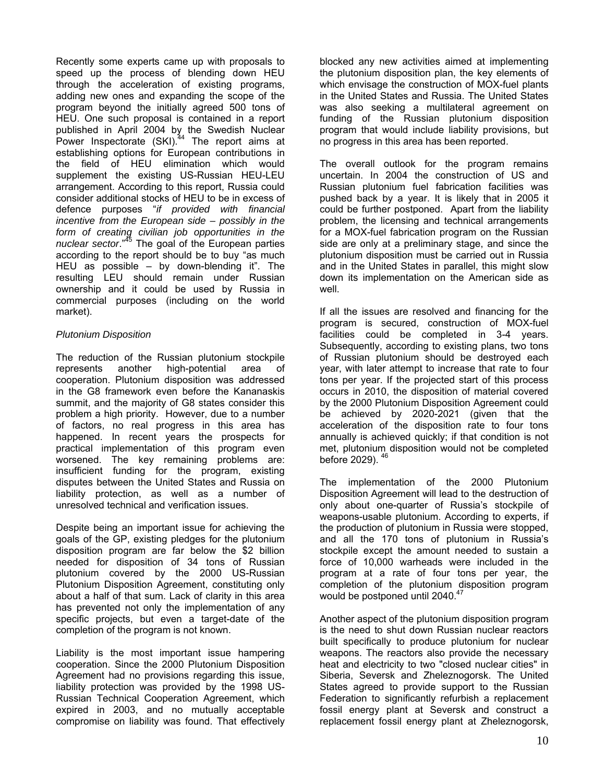Recently some experts came up with proposals to speed up the process of blending down HEU through the acceleration of existing programs, adding new ones and expanding the scope of the program beyond the initially agreed 500 tons of HEU. One such proposal is contained in a report published in April 2004 by the Swedish Nuclear Power Inspectorate (SKI).<sup>44</sup> The report aims at establishing options for European contributions in the field of HEU elimination which would supplement the existing US-Russian HEU-LEU arrangement. According to this report, Russia could consider additional stocks of HEU to be in excess of defence purposes "*if provided with financial incentive from the European side – possibly in the form of creating civilian job opportunities in the nuclear sector*."[45](#page-32-44) The goal of the European parties according to the report should be to buy "as much HEU as possible – by down-blending it". The resulting LEU should remain under Russian ownership and it could be used by Russia in commercial purposes (including on the world market).

### *Plutonium Disposition*

The reduction of the Russian plutonium stockpile represents another high-potential area of cooperation. Plutonium disposition was addressed in the G8 framework even before the Kananaskis summit, and the majority of G8 states consider this problem a high priority. However, due to a number of factors, no real progress in this area has happened. In recent years the prospects for practical implementation of this program even worsened. The key remaining problems are: insufficient funding for the program, existing disputes between the United States and Russia on liability protection, as well as a number of unresolved technical and verification issues.

Despite being an important issue for achieving the goals of the GP, existing pledges for the plutonium disposition program are far below the \$2 billion needed for disposition of 34 tons of Russian plutonium covered by the 2000 US-Russian Plutonium Disposition Agreement, constituting only about a half of that sum. Lack of clarity in this area has prevented not only the implementation of any specific projects, but even a target-date of the completion of the program is not known.

Liability is the most important issue hampering cooperation. Since the 2000 Plutonium Disposition Agreement had no provisions regarding this issue, liability protection was provided by the 1998 US-Russian Technical Cooperation Agreement, which expired in 2003, and no mutually acceptable compromise on liability was found. That effectively

blocked any new activities aimed at implementing the plutonium disposition plan, the key elements of which envisage the construction of MOX-fuel plants in the United States and Russia. The United States was also seeking a multilateral agreement on funding of the Russian plutonium disposition program that would include liability provisions, but no progress in this area has been reported.

The overall outlook for the program remains uncertain. In 2004 the construction of US and Russian plutonium fuel fabrication facilities was pushed back by a year. It is likely that in 2005 it could be further postponed. Apart from the liability problem, the licensing and technical arrangements for a MOX-fuel fabrication program on the Russian side are only at a preliminary stage, and since the plutonium disposition must be carried out in Russia and in the United States in parallel, this might slow down its implementation on the American side as well.

If all the issues are resolved and financing for the program is secured, construction of MOX-fuel facilities could be completed in 3-4 years. Subsequently, according to existing plans, two tons of Russian plutonium should be destroyed each year, with later attempt to increase that rate to four tons per year. If the projected start of this process occurs in 2010, the disposition of material covered by the 2000 Plutonium Disposition Agreement could be achieved by 2020-2021 (given that the acceleration of the disposition rate to four tons annually is achieved quickly; if that condition is not met, plutonium disposition would not be completed before 2029). [46](#page-32-45)

The implementation of the 2000 Plutonium Disposition Agreement will lead to the destruction of only about one-quarter of Russia's stockpile of weapons-usable plutonium. According to experts, if the production of plutonium in Russia were stopped, and all the 170 tons of plutonium in Russia's stockpile except the amount needed to sustain a force of 10,000 warheads were included in the program at a rate of four tons per year, the completion of the plutonium disposition program would be postponed until 2040.<sup>[47](#page-32-9)</sup>

Another aspect of the plutonium disposition program is the need to shut down Russian nuclear reactors built specifically to produce plutonium for nuclear weapons. The reactors also provide the necessary heat and electricity to two "closed nuclear cities" in Siberia, Seversk and Zheleznogorsk. The United States agreed to provide support to the Russian Federation to significantly refurbish a replacement fossil energy plant at Seversk and construct a replacement fossil energy plant at Zheleznogorsk,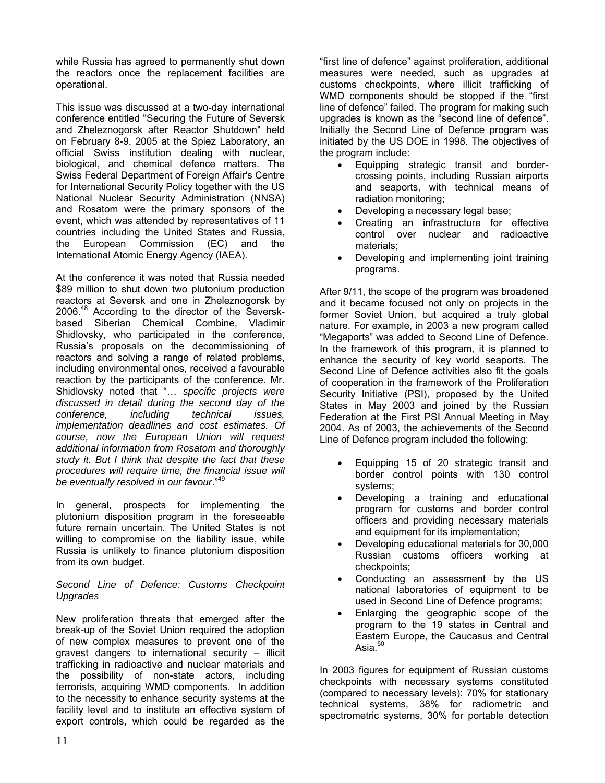while Russia has agreed to permanently shut down the reactors once the replacement facilities are operational.

This issue was discussed at a two-day international conference entitled "Securing the Future of Seversk and Zheleznogorsk after Reactor Shutdown" held on February 8-9, 2005 at the Spiez Laboratory, an official Swiss institution dealing with nuclear, biological, and chemical defence matters. The Swiss Federal Department of Foreign Affair's Centre for International Security Policy together with the US National Nuclear Security Administration (NNSA) and Rosatom were the primary sponsors of the event, which was attended by representatives of 11 countries including the United States and Russia, the European Commission (EC) and the International Atomic Energy Agency (IAEA).

At the conference it was noted that Russia needed \$89 million to shut down two plutonium production reactors at Seversk and one in Zheleznogorsk by 2006.<sup>48</sup> According to the director of the Severskbased Siberian Chemical Combine, Vladimir Shidlovsky, who participated in the conference, Russia's proposals on the decommissioning of reactors and solving a range of related problems, including environmental ones, received a favourable reaction by the participants of the conference. Mr. Shidlovsky noted that "… *specific projects were discussed in detail during the second day of the conference, including technical issues, implementation deadlines and cost estimates. Of course, now the European Union will request additional information from Rosatom and thoroughly study it. But I think that despite the fact that these procedures will require time, the financial issue will be eventually resolved in our favour*."[49](#page-32-46)

In general, prospects for implementing the plutonium disposition program in the foreseeable future remain uncertain. The United States is not willing to compromise on the liability issue, while Russia is unlikely to finance plutonium disposition from its own budget.

### *Second Line of Defence: Customs Checkpoint Upgrades*

New proliferation threats that emerged after the break-up of the Soviet Union required the adoption of new complex measures to prevent one of the gravest dangers to international security – illicit trafficking in radioactive and nuclear materials and the possibility of non-state actors, including terrorists, acquiring WMD components. In addition to the necessity to enhance security systems at the facility level and to institute an effective system of export controls, which could be regarded as the

"first line of defence" against proliferation, additional measures were needed, such as upgrades at customs checkpoints, where illicit trafficking of WMD components should be stopped if the "first line of defence" failed. The program for making such upgrades is known as the "second line of defence". Initially the Second Line of Defence program was initiated by the US DOE in 1998. The objectives of the program include:

- Equipping strategic transit and bordercrossing points, including Russian airports and seaports, with technical means of radiation monitoring;
- Developing a necessary legal base;
- Creating an infrastructure for effective control over nuclear and radioactive materials;
- Developing and implementing joint training programs.

After 9/11, the scope of the program was broadened and it became focused not only on projects in the former Soviet Union, but acquired a truly global nature. For example, in 2003 a new program called "Megaports" was added to Second Line of Defence. In the framework of this program, it is planned to enhance the security of key world seaports. The Second Line of Defence activities also fit the goals of cooperation in the framework of the Proliferation Security Initiative (PSI), proposed by the United States in May 2003 and joined by the Russian Federation at the First PSI Annual Meeting in May 2004. As of 2003, the achievements of the Second Line of Defence program included the following:

- Equipping 15 of 20 strategic transit and border control points with 130 control systems;
- Developing a training and educational program for customs and border control officers and providing necessary materials and equipment for its implementation;
- Developing educational materials for 30,000 Russian customs officers working at checkpoints;
- Conducting an assessment by the US national laboratories of equipment to be used in Second Line of Defence programs;
- Enlarging the geographic scope of the program to the 19 states in Central and Eastern Europe, the Caucasus and Central Asia.<sup>[50](#page-32-12)</sup>

In 2003 figures for equipment of Russian customs checkpoints with necessary systems constituted (compared to necessary levels): 70% for stationary technical systems, 38% for radiometric and spectrometric systems, 30% for portable detection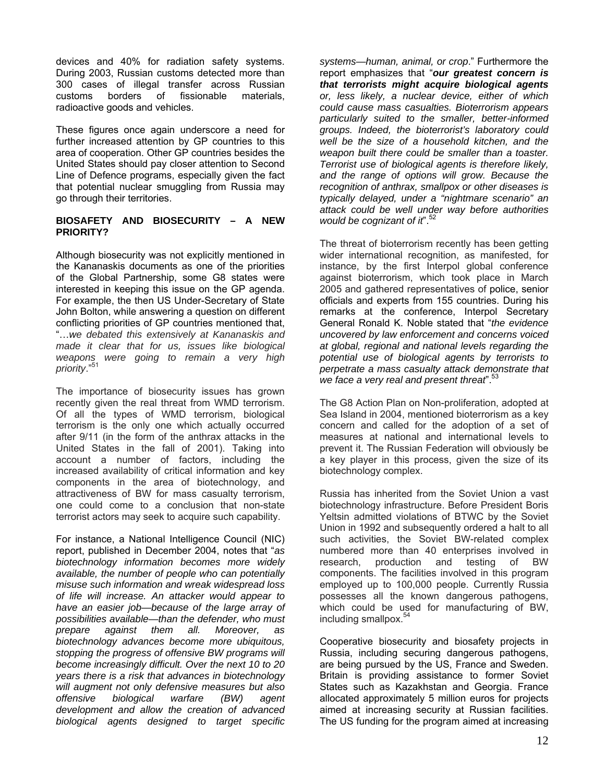devices and 40% for radiation safety systems. During 2003, Russian customs detected more than 300 cases of illegal transfer across Russian customs borders of fissionable materials, radioactive goods and vehicles.

These figures once again underscore a need for further increased attention by GP countries to this area of cooperation. Other GP countries besides the United States should pay closer attention to Second Line of Defence programs, especially given the fact that potential nuclear smuggling from Russia may go through their territories.

### **BIOSAFETY AND BIOSECURITY – A NEW PRIORITY?**

Although biosecurity was not explicitly mentioned in the Kananaskis documents as one of the priorities of the Global Partnership, some G8 states were interested in keeping this issue on the GP agenda. For example, the then US Under-Secretary of State John Bolton, while answering a question on different conflicting priorities of GP countries mentioned that, "…*we debated this extensively at Kananaskis and made it clear that for us, issues like biological weapons were going to remain a very high priority*."[51](#page-32-47)

The importance of biosecurity issues has grown recently given the real threat from WMD terrorism. Of all the types of WMD terrorism, biological terrorism is the only one which actually occurred after 9/11 (in the form of the anthrax attacks in the United States in the fall of 2001). Taking into account a number of factors, including the increased availability of critical information and key components in the area of biotechnology, and attractiveness of BW for mass casualty terrorism, one could come to a conclusion that non-state terrorist actors may seek to acquire such capability.

For instance, a National Intelligence Council (NIC) report, published in December 2004, notes that "*as biotechnology information becomes more widely available, the number of people who can potentially misuse such information and wreak widespread loss of life will increase. An attacker would appear to have an easier job—because of the large array of possibilities available—than the defender, who must prepare against them all. Moreover, as biotechnology advances become more ubiquitous, stopping the progress of offensive BW programs will become increasingly difficult. Over the next 10 to 20 years there is a risk that advances in biotechnology will augment not only defensive measures but also offensive biological warfare (BW) agent development and allow the creation of advanced biological agents designed to target specific* 

*systems—human, animal, or crop*." Furthermore the report emphasizes that "*our greatest concern is that terrorists might acquire biological agents or, less likely, a nuclear device, either of which could cause mass casualties. Bioterrorism appears particularly suited to the smaller, better-informed groups. Indeed, the bioterrorist's laboratory could well be the size of a household kitchen, and the weapon built there could be smaller than a toaster. Terrorist use of biological agents is therefore likely, and the range of options will grow. Because the recognition of anthrax, smallpox or other diseases is typically delayed, under a "nightmare scenario" an attack could be well under way before authorities would be cognizant of it*".[52](#page-32-15)

The threat of bioterrorism recently has been getting wider international recognition, as manifested, for instance, by the first Interpol global conference against bioterrorism, which took place in March 2005 and gathered representatives of police, senior officials and experts from 155 countries. During his remarks at the conference, Interpol Secretary General Ronald K. Noble stated that "*the evidence uncovered by law enforcement and concerns voiced at global, regional and national levels regarding the potential use of biological agents by terrorists to perpetrate a mass casualty attack demonstrate that we face a very real and present threat*".[53](#page-32-17)

The G8 Action Plan on Non-proliferation, adopted at Sea Island in 2004, mentioned bioterrorism as a key concern and called for the adoption of a set of measures at national and international levels to prevent it. The Russian Federation will obviously be a key player in this process, given the size of its biotechnology complex.

Russia has inherited from the Soviet Union a vast biotechnology infrastructure. Before President Boris Yeltsin admitted violations of BTWC by the Soviet Union in 1992 and subsequently ordered a halt to all such activities, the Soviet BW-related complex numbered more than 40 enterprises involved in research, production and testing of BW components. The facilities involved in this program employed up to 100,000 people. Currently Russia possesses all the known dangerous pathogens, which could be used for manufacturing of BW, including smallpox.[54](#page-32-19)

Cooperative biosecurity and biosafety projects in Russia, including securing dangerous pathogens, are being pursued by the US, France and Sweden. Britain is providing assistance to former Soviet States such as Kazakhstan and Georgia. France allocated approximately 5 million euros for projects aimed at increasing security at Russian facilities. The US funding for the program aimed at increasing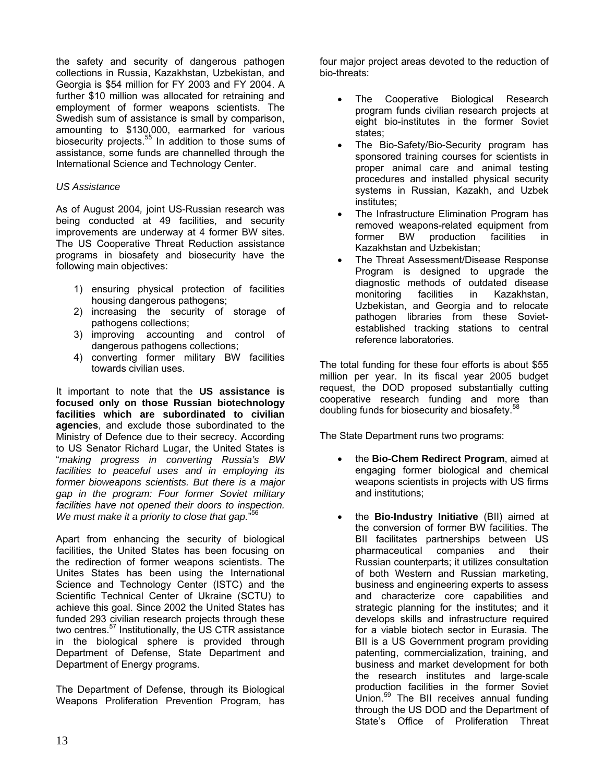the safety and security of dangerous pathogen collections in Russia, Kazakhstan, Uzbekistan, and Georgia is \$54 million for FY 2003 and FY 2004. A further \$10 million was allocated for retraining and employment of former weapons scientists. The Swedish sum of assistance is small by comparison, amounting to \$130,000, earmarked for various biosecurity projects.<sup>55</sup> In addition to those sums of assistance, some funds are channelled through the International Science and Technology Center.

### *US Assistance*

As of August 2004*,* joint US-Russian research was being conducted at 49 facilities, and security improvements are underway at 4 former BW sites. The US Cooperative Threat Reduction assistance programs in biosafety and biosecurity have the following main objectives:

- 1) ensuring physical protection of facilities housing dangerous pathogens;
- 2) increasing the security of storage of pathogens collections;
- 3) improving accounting and control of dangerous pathogens collections;
- 4) converting former military BW facilities towards civilian uses.

It important to note that the **US assistance is focused only on those Russian biotechnology facilities which are subordinated to civilian agencies**, and exclude those subordinated to the Ministry of Defence due to their secrecy. According to US Senator Richard Lugar, the United States is "*making progress in converting Russia's BW facilities to peaceful uses and in employing its former bioweapons scientists. But there is a major gap in the program: Four former Soviet military facilities have not opened their doors to inspection. We must make it a priority to close that gap.*" [56](#page-32-49)

Apart from enhancing the security of biological facilities, the United States has been focusing on the redirection of former weapons scientists. The Unites States has been using the International Science and Technology Center (ISTC) and the Scientific Technical Center of Ukraine (SCTU) to achieve this goal. Since 2002 the United States has funded 293 civilian research projects through these two centres.<sup>57</sup> Institutionally, the US CTR assistance in the biological sphere is provided through Department of Defense, State Department and Department of Energy programs.

The Department of Defense, through its Biological Weapons Proliferation Prevention Program, has

four major project areas devoted to the reduction of bio-threats:

- The Cooperative Biological Research program funds civilian research projects at eight bio-institutes in the former Soviet states;
- The Bio-Safety/Bio-Security program has sponsored training courses for scientists in proper animal care and animal testing procedures and installed physical security systems in Russian, Kazakh, and Uzbek institutes;
- The Infrastructure Elimination Program has removed weapons-related equipment from former BW production facilities in Kazakhstan and Uzbekistan;
- The Threat Assessment/Disease Response Program is designed to upgrade the diagnostic methods of outdated disease monitoring facilities in Kazakhstan, Uzbekistan, and Georgia and to relocate pathogen libraries from these Sovietestablished tracking stations to central reference laboratories.

The total funding for these four efforts is about \$55 million per year. In its fiscal year 2005 budget request, the DOD proposed substantially cutting cooperative research funding and more than doubling funds for biosecurity and biosafety.<sup>58</sup>

The State Department runs two programs:

- the **Bio-Chem Redirect Program**, aimed at engaging former biological and chemical weapons scientists in projects with US firms and institutions;
- the **Bio-Industry Initiative** (BII) aimed at the conversion of former BW facilities. The BII facilitates partnerships between US pharmaceutical companies and their Russian counterparts; it utilizes consultation of both Western and Russian marketing, business and engineering experts to assess and characterize core capabilities and strategic planning for the institutes; and it develops skills and infrastructure required for a viable biotech sector in Eurasia. The BII is a US Government program providing patenting, commercialization, training, and business and market development for both the research institutes and large-scale production facilities in the former Soviet Union.[59](#page-32-23) The BII receives annual funding through the US DOD and the Department of State's Office of Proliferation Threat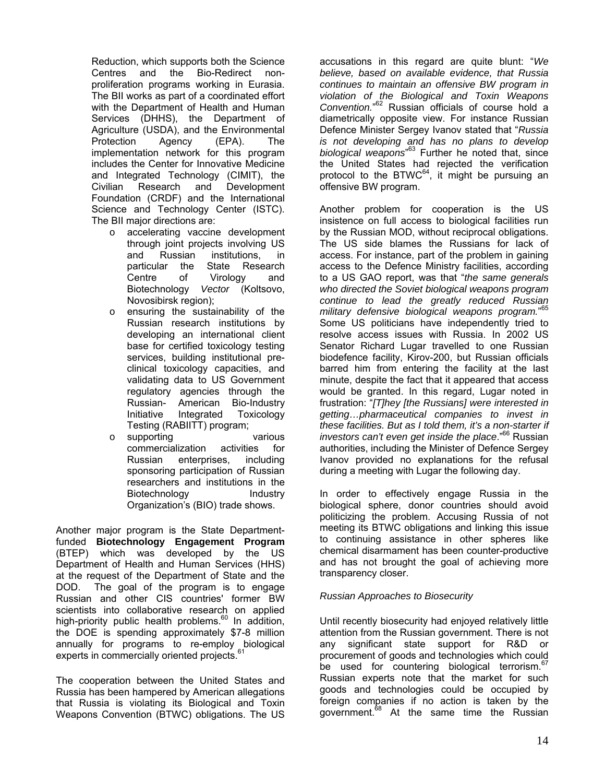Reduction, which supports both the Science Centres and the Bio-Redirect nonproliferation programs working in Eurasia. The BII works as part of a coordinated effort with the Department of Health and Human Services (DHHS), the Department of Agriculture (USDA), and the Environmental Protection Agency (EPA). The implementation network for this program includes the Center for Innovative Medicine and Integrated Technology [\(CIMIT](http://www.cimit.org/)), the Civilian Research and Development Foundation [\(CRDF](http://www.crdf.org/)) and the International Science and Technology Center [\(ISTC](http://www.istc.ru/)). The BII major directions are:

- o accelerating vaccine development through joint projects involving US and Russian institutions, in<br>particular the State Research State Research Centre of Virology and Biotechnology *Vector* (Koltsovo, Novosibirsk region);
- o ensuring the sustainability of the Russian research institutions by developing an international client base for certified toxicology testing services, building institutional preclinical toxicology capacities, and validating data to US Government regulatory agencies through the Russian- American Bio-Industry Initiative Integrated Toxicology Testing (RABIITT) program;
- o supporting various commercialization activities for Russian enterprises, including sponsoring participation of Russian researchers and institutions in the Biotechnology Industry Organization's (BIO) trade shows.

Another major program is the State Departmentfunded **Biotechnology Engagement Program** (BTEP) which was developed by the US Department of Health and Human Services (HHS) at the request of the Department of State and the DOD. The goal of the program is to engage Russian and other CIS countries' former BW scientists into collaborative research on applied high-priority public health problems.<sup>[60](#page-32-24)</sup> In addition, the DOE is spending approximately \$7-8 million annually for programs to re-employ biological experts in commercially oriented projects.<sup>[61](#page-32-25)</sup>

The cooperation between the United States and Russia has been hampered by American allegations that Russia is violating its Biological and Toxin Weapons Convention (BTWC) obligations. The US

accusations in this regard are quite blunt: "*We believe, based on available evidence, that Russia continues to maintain an offensive BW program in violation of the Biological and Toxin Weapons Convention.*" [62](#page-32-50) Russian officials of course hold a diametrically opposite view. For instance Russian Defence Minister Sergey Ivanov stated that "*Russia is not developing and has no plans to develop biological weapons*" [63](#page-32-51) Further he noted that, since the United States had rejected the verification protocol to the  $BTWC^{64}$ , it might be pursuing an offensive BW program.

Another problem for cooperation is the US insistence on full access to biological facilities run by the Russian MOD, without reciprocal obligations. The US side blames the Russians for lack of access. For instance, part of the problem in gaining access to the Defence Ministry facilities, according to a US GAO report, was that "*the same generals who directed the Soviet biological weapons program continue to lead the greatly reduced Russian military defensive biological weapons program.*" [65](#page-32-52) Some US politicians have independently tried to resolve access issues with Russia. In 2002 US Senator Richard Lugar travelled to one Russian biodefence facility, Kirov-200, but Russian officials barred him from entering the facility at the last minute, despite the fact that it appeared that access would be granted. In this regard, Lugar noted in frustration: "*[T]hey [the Russians] were interested in getting…pharmaceutical companies to invest in these facilities. But as I told them, it's a non-starter if investors can't even get inside the place*."[66](#page-32-53) Russian authorities, including the Minister of Defence Sergey Ivanov provided no explanations for the refusal during a meeting with Lugar the following day.

In order to effectively engage Russia in the biological sphere, donor countries should avoid politicizing the problem. Accusing Russia of not meeting its BTWC obligations and linking this issue to continuing assistance in other spheres like chemical disarmament has been counter-productive and has not brought the goal of achieving more transparency closer.

### *Russian Approaches to Biosecurity*

Until recently biosecurity had enjoyed relatively little attention from the Russian government. There is not any significant state support for R&D or procurement of goods and technologies which could be used for countering biological terrorism.<sup>67</sup> Russian experts note that the market for su[ch](#page-32-54) goods and technologies could be occupied by foreign companies if no action is taken by the government.<sup>68</sup> At the same time the Russian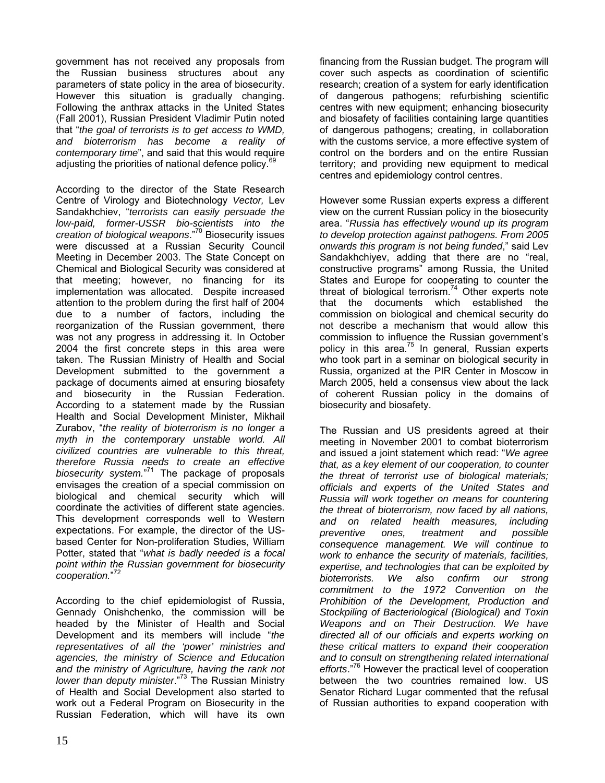government has not received any proposals from the Russian business structures about any parameters of state policy in the area of biosecurity. However this situation is gradually changing. Following the anthrax attacks in the United States (Fall 2001), Russian President Vladimir Putin noted that "*the goal of terrorists is to get access to WMD, and bioterrorism has become a reality of contemporary time*", and said that this would require adjusting the priorities of national defence policy.<sup>6</sup>

According to the director of the State Research Centre of Virology and Biotechnology *Vector,* Lev Sandakhchiev, "*terrorists can easily persuade the low-paid, former-USSR bio-scientists into the creation of biological weapons*."[70 B](#page-32-40)iosecurity issues were discussed at a Russian Security Council Meeting in December 2003. The State Concept on Chemical and Biological Security was considered at that meeting; however, no financing for its implementation was allocated. Despite increased attention to the problem during the first half of 2004 due to a number of factors, including the reorganization of the Russian government, there was not any progress in addressing it. In October 2004 the first concrete steps in this area were taken. The Russian Ministry of Health and Social Development submitted to the government a package of documents aimed at ensuring biosafety and biosecurity in the Russian Federation. According to a statement made by the Russian Health and Social Development Minister, Mikhail Zurabov, "*the reality of bioterrorism is no longer a myth in the contemporary unstable world. All civilized countries are vulnerable to this threat, therefore Russia needs to create an effective biosecurity system.*" [71](#page-32-56) The package of proposals envisages the creation of a special commission on biological and chemical security which will coordinate the activities of different state agencies. This development corresponds well to Western expectations. For example, the director of the USbased Center for Non-proliferation Studies, William Potter, stated that "*what is badly needed is a focal point within the Russian government for biosecurity cooperation.*" [72](#page-32-42)

According to the chief epidemiologist of Russia, Gennady Onishchenko, the commission will be headed by the Minister of Health and Social Development and its members will include "*the representatives of all the 'power' ministries and agencies, the ministry of Science and Education and the ministry of Agriculture, having the rank not lower than deputy minister*.["73](#page-32-44) The Russian Ministry of Health and Social Development also started to work out a Federal Program on Biosecurity in the Russian Federation, which will have its own financing from the Russian budget. The program will cover such aspects as coordination of scientific research; creation of a system for early identification of dangerous pathogens; refurbishing scientific centres with new equipment; enhancing biosecurity and biosafety of facilities containing large quantities of dangerous pathogens; creating, in collaboration with the customs service, a more effective system of control on the borders and on the entire Russian territory; and providing new equipment to medical centres and epidemiology control centres.

However some Russian experts express a different view on the current Russian policy in the biosecurity area. "*Russia has effectively wound up its program to develop protection against pathogens. From 2005 onwards this program is not being funded*," said Lev Sandakhchiyev, adding that there are no "real, constructive programs" among Russia, the United States and Europe for cooperating to counter the threatof biological terrorism. $74$  Other experts note that the documents which established the commission on biological and chemical security do not describe a mechanism that would allow this commission to influence the Russian government's policy in this area. $75$  In general, Russian experts who took part in a seminar on biological security in Russia, organized at the PIR Center in Moscow in March 2005, held a consensus view about the lack of coherent Russian policy in the domains of biosecurity and biosafety.

The Russian and US presidents agreed at their meeting in November 2001 to combat bioterrorism and issued a joint statement which read: "*We agree that, as a key element of our cooperation, to counter the threat of terrorist use of biological materials; officials and experts of the United States and Russia will work together on means for countering the threat of bioterrorism, now faced by all nations, and on related health measures, including preventive ones, treatment and possible consequence management. We will continue to work to enhance the security of materials, facilities, expertise, and technologies that can be exploited by bioterrorists. We also confirm our strong commitment to the 1972 Convention on the Prohibition of the Development, Production and Stockpiling of Bacteriological (Biological) and Toxin Weapons and on Their Destruction. We have directed all of our officials and experts working on these critical matters to expand their cooperation and to consult on strengthening related international efforts*."[76](#page-32-58) However the practical level of cooperation between the two countries remained low. US Senator Richard Lugar commented that the refusal of Russian authorities to expand cooperation with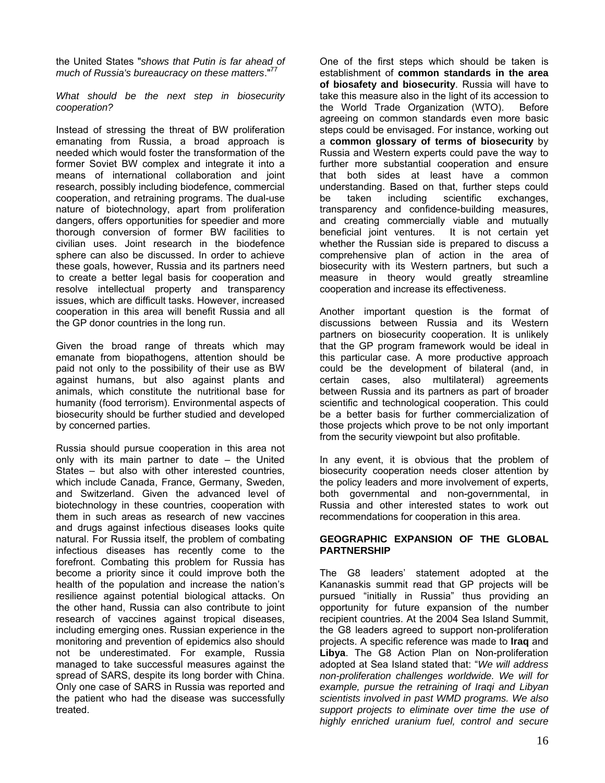the United States "*shows that Putin is far ahead of much of Russia's bureaucracy on these matters*."[77](#page-32-11) 

*What should be the next step in biosecurity cooperation?*

Instead of stressing the threat of BW proliferation emanating from Russia, a broad approach is needed which would foster the transformation of the former Soviet BW complex and integrate it into a means of international collaboration and joint research, possibly including biodefence, commercial cooperation, and retraining programs. The dual-use nature of biotechnology, apart from proliferation dangers, offers opportunities for speedier and more thorough conversion of former BW facilities to civilian uses. Joint research in the biodefence sphere can also be discussed. In order to achieve these goals, however, Russia and its partners need to create a better legal basis for cooperation and resolve intellectual property and transparency issues, which are difficult tasks. However, increased cooperation in this area will benefit Russia and all the GP donor countries in the long run.

Given the broad range of threats which may emanate from biopathogens, attention should be paid not only to the possibility of their use as BW against humans, but also against plants and animals, which constitute the nutritional base for humanity (food terrorism). Environmental aspects of biosecurity should be further studied and developed by concerned parties.

Russia should pursue cooperation in this area not only with its main partner to date – the United States – but also with other interested countries, which include Canada, France, Germany, Sweden, and Switzerland. Given the advanced level of biotechnology in these countries, cooperation with them in such areas as research of new vaccines and drugs against infectious diseases looks quite natural. For Russia itself, the problem of combating infectious diseases has recently come to the forefront. Combating this problem for Russia has become a priority since it could improve both the health of the population and increase the nation's resilience against potential biological attacks. On the other hand, Russia can also contribute to joint research of vaccines against tropical diseases, including emerging ones. Russian experience in the monitoring and prevention of epidemics also should not be underestimated. For example, Russia managed to take successful measures against the spread of SARS, despite its long border with China. Only one case of SARS in Russia was reported and the patient who had the disease was successfully treated.

One of the first steps which should be taken is establishment of **common standards in the area of biosafety and biosecurity**. Russia will have to take this measure also in the light of its accession to the World Trade Organization (WTO). Before agreeing on common standards even more basic steps could be envisaged. For instance, working out a **common glossary of terms of biosecurity** by Russia and Western experts could pave the way to further more substantial cooperation and ensure that both sides at least have a common understanding. Based on that, further steps could be taken including scientific exchanges, transparency and confidence-building measures, and creating commercially viable and mutually beneficial joint ventures. It is not certain yet whether the Russian side is prepared to discuss a comprehensive plan of action in the area of biosecurity with its Western partners, but such a measure in theory would greatly streamline cooperation and increase its effectiveness.

Another important question is the format of discussions between Russia and its Western partners on biosecurity cooperation. It is unlikely that the GP program framework would be ideal in this particular case. A more productive approach could be the development of bilateral (and, in certain cases, also multilateral) agreements between Russia and its partners as part of broader scientific and technological cooperation. This could be a better basis for further commercialization of those projects which prove to be not only important from the security viewpoint but also profitable.

In any event, it is obvious that the problem of biosecurity cooperation needs closer attention by the policy leaders and more involvement of experts, both governmental and non-governmental, in Russia and other interested states to work out recommendations for cooperation in this area.

#### **GEOGRAPHIC EXPANSION OF THE GLOBAL PARTNERSHIP**

The G8 leaders' statement adopted at the Kananaskis summit read that GP projects will be pursued "initially in Russia" thus providing an opportunity for future expansion of the number recipient countries. At the 2004 Sea Island Summit, the G8 leaders agreed to support non-proliferation projects. A specific reference was made to **Iraq** and **Libya**. The G8 Action Plan on Non-proliferation adopted at Sea Island stated that: "*We will address non-proliferation challenges worldwide. We will for example, pursue the retraining of Iraqi and Libyan scientists involved in past WMD programs. We also support projects to eliminate over time the use of highly enriched uranium fuel, control and secure*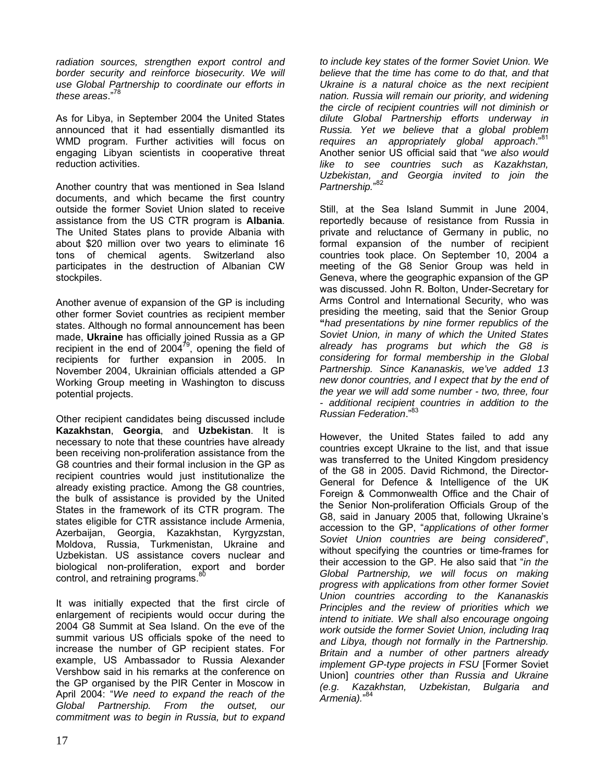*radiation sources, strengthen export control and border security and reinforce biosecurity. We will use Global Partnership to coordinate our efforts in these areas*."[78](#page-32-59)

As for Libya, in September 2004 the United States announced that it had essentially dismantled its WMD program. Further activities will focus on engaging Libyan scientists in cooperative threat reduction activities.

Another country that was mentioned in Sea Island documents, and which became the first country outside the former Soviet Union slated to receive assistance from the US CTR program is **Albania**. The United States plans to provide Albania with about \$20 million over two years to eliminate 16 tons of chemical agents. Switzerland also participates in the destruction of Albanian CW stockpiles.

Another avenue of expansion of the GP is including other former Soviet countries as recipient member states. Although no formal announcement has been made, **Ukraine** has officially joined Russia as a GP recipient in the end of  $2004^{79}$ , opening the field of recipients for further expansion in 2005. In November 2004, Ukrainian officials attended a GP Working Group meeting in Washington to discuss potential projects.

Other recipient candidates being discussed include **Kazakhstan**, **Georgia**, and **Uzbekistan**. It is necessary to note that these countries have already been receiving non-proliferation assistance from the G8 countries and their formal inclusion in the GP as recipient countries would just institutionalize the already existing practice. Among the G8 countries, the bulk of assistance is provided by the United States in the framework of its CTR program. The states eligible for CTR assistance include Armenia, Azerbaijan, Georgia, Kazakhstan, Kyrgyzstan, Moldova, Russia, Turkmenistan, Ukraine and Uzbekistan. US assistance covers nuclear and biological non-proliferation, export and border control, and retraining programs.<sup>[80](#page-32-60)</sup>

It was initially expected that the first circle of enlargement of recipients would occur during the 2004 G8 Summit at Sea Island. On the eve of the summit various US officials spoke of the need to increase the number of GP recipient states. For example, US Ambassador to Russia Alexander Vershbow said in his remarks at the conference on the GP organised by the PIR Center in Moscow in April 2004: "*We need to expand the reach of the Global Partnership. From the outset, our commitment was to begin in Russia, but to expand*

*to include key states of the former Soviet Union. We believe that the time has come to do that, and that Ukraine is a natural choice as the next recipient nation. Russia will remain our priority, and widening the circle of recipient countries will not diminish or dilute Global Partnership efforts underway in Russia. Yet we believe that a global problem requires an appropriately global approach*."[81](#page-32-61) Another senior US official said that "*we also would like to see countries such as Kazakhstan, Uzbekistan, and Georgia invited to join the Partnership.*" [82](#page-32-62)

Still, at the Sea Island Summit in June 2004, reportedly because of resistance from Russia in private and reluctance of Germany in public, no formal expansion of the number of recipient countries took place. On September 10, 2004 a meeting of the G8 Senior Group was held in Geneva, where the geographic expansion of the GP was discussed. John R. Bolton, Under-Secretary for Arms Control and International Security, who was presiding the meeting, said that the Senior Group **"***had presentations by nine former republics of the Soviet Union, in many of which the United States already has programs but which the G8 is considering for formal membership in the Global Partnership. Since Kananaskis, we've added 13 new donor countries, and I expect that by the end of the year we will add some number - two, three, four - additional recipient countries in addition to the Russian Federation*."[83](#page-32-21)

However, the United States failed to add any countries except Ukraine to the list, and that issue was transferred to the United Kingdom presidency of the G8 in 2005. David Richmond, the Director-General for Defence & Intelligence of the UK Foreign & Commonwealth Office and the Chair of the Senior Non-proliferation Officials Group of the G8, said in January 2005 that, following Ukraine's accession to the GP, "*applications of other former Soviet Union countries are being considered*", without specifying the countries or time-frames for their accession to the GP. He also said that "*in the Global Partnership, we will focus on making progress with applications from other former Soviet Union countries according to the Kananaskis Principles and the review of priorities which we intend to initiate. We shall also encourage ongoing work outside the former Soviet Union, including Iraq and Libya, though not formally in the Partnership. Britain and a number of other partners already implement GP-type projects in FSU* [Former Soviet Union] *countries other than Russia and Ukraine (e.g. Kazakhstan, Uzbekistan, Bulgaria and Armenia).*" [84](#page-32-63)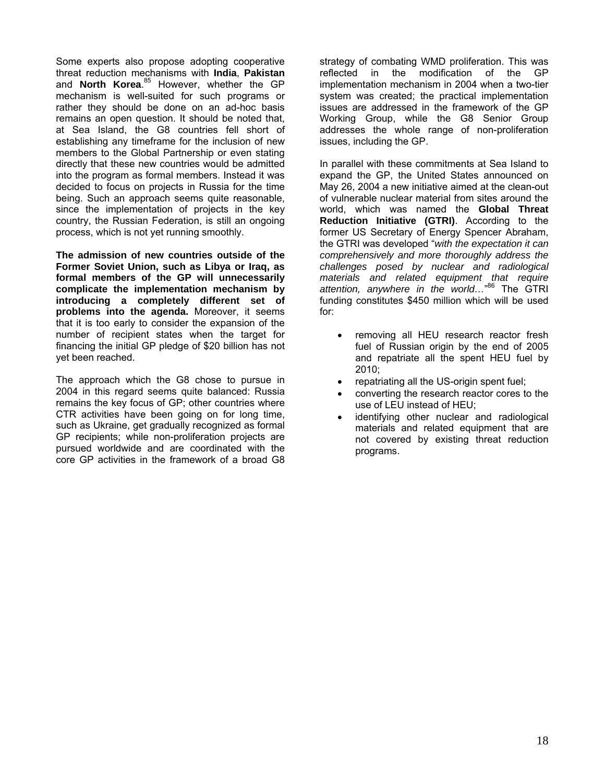Some experts also propose adopting cooperative threat reduction mechanisms with **India**, **Pakistan** and **North Korea**. [85](#page-32-23) However, whether the GP mechanism is well-suited for such programs or rather they should be done on an ad-hoc basis remains an open question. It should be noted that, at Sea Island, the G8 countries fell short of establishing any timeframe for the inclusion of new members to the Global Partnership or even stating directly that these new countries would be admitted into the program as formal members. Instead it was decided to focus on projects in Russia for the time being. Such an approach seems quite reasonable, since the implementation of projects in the key country, the Russian Federation, is still an ongoing process, which is not yet running smoothly.

**The admission of new countries outside of the Former Soviet Union, such as Libya or Iraq, as formal members of the GP will unnecessarily complicate the implementation mechanism by introducing a completely different set of problems into the agenda.** Moreover, it seems that it is too early to consider the expansion of the number of recipient states when the target for financing the initial GP pledge of \$20 billion has not yet been reached.

The approach which the G8 chose to pursue in 2004 in this regard seems quite balanced: Russia remains the key focus of GP; other countries where CTR activities have been going on for long time, such as Ukraine, get gradually recognized as formal GP recipients; while non-proliferation projects are pursued worldwide and are coordinated with the core GP activities in the framework of a broad G8

strategy of combating WMD proliferation. This was reflected in the modification of the GP implementation mechanism in 2004 when a two-tier system was created; the practical implementation issues are addressed in the framework of the GP Working Group, while the G8 Senior Group addresses the whole range of non-proliferation issues, including the GP.

In parallel with these commitments at Sea Island to expand the GP, the United States announced on May 26, 2004 a new initiative aimed at the clean-out of vulnerable nuclear material from sites around the world, which was named the **Global Threat Reduction Initiative (GTRI)**. According to the former US Secretary of Energy Spencer Abraham, the GTRI was developed "*with the expectation it can comprehensively and more thoroughly address the challenges posed by nuclear and radiological materials and related equipment that require attention, anywhere in the world…*" [86](#page-32-24) The GTRI funding constitutes \$450 million which will be used for:

- removing all HEU research reactor fresh fuel of Russian origin by the end of 2005 and repatriate all the spent HEU fuel by 2010;
- repatriating all the US-origin spent fuel;
- converting the research reactor cores to the use of LEU instead of HEU;
- identifying other nuclear and radiological materials and related equipment that are not covered by existing threat reduction programs.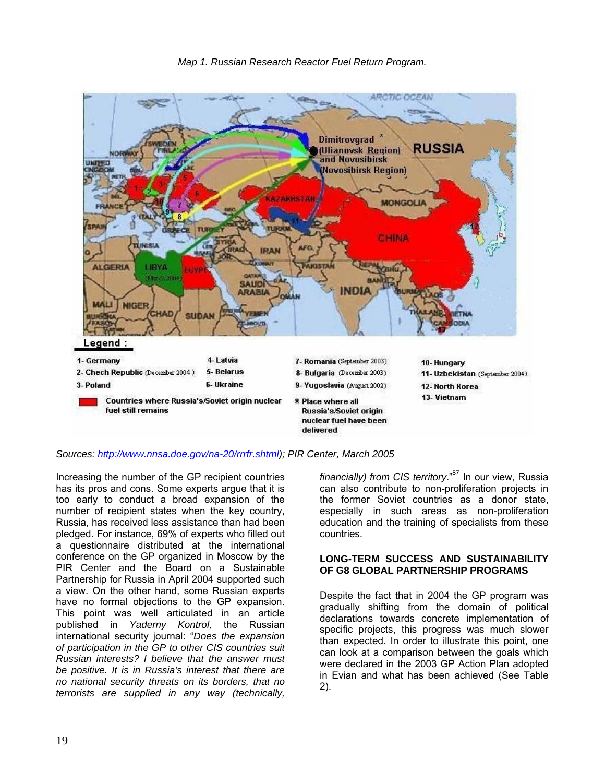

#### *Sources: <http://www.nnsa.doe.gov/na-20/rrrfr.shtml>); PIR Center, March 2005*

Increasing the number of the GP recipient countries has its pros and cons. Some experts argue that it is too early to conduct a broad expansion of the number of recipient states when the key country, Russia, has received less assistance than had been pledged. For instance, 69% of experts who filled out a questionnaire distributed at the international conference on the GP organized in Moscow by the PIR Center and the Board on a Sustainable Partnership for Russia in April 2004 supported such a view. On the other hand, some Russian experts have no formal objections to the GP expansion. This point was well articulated in an article published in *Yaderny Kontrol,* the Russian international security journal: "*Does the expansion of participation in the GP to other CIS countries suit Russian interests? I believe that the answer must be positive. It is in Russia's interest that there are no national security threats on its borders, that no terrorists are supplied in any way (technically,* 

*financially) from CIS territory*.["87](#page-32-64) In our view, Russia can also contribute to non-proliferation projects in the former Soviet countries as a donor state, especially in such areas as non-proliferation education and the training of specialists from these countries.

#### **LONG-TERM SUCCESS AND SUSTAINABILITY OF G8 GLOBAL PARTNERSHIP PROGRAMS**

Despite the fact that in 2004 the GP program was gradually shifting from the domain of political declarations towards concrete implementation of specific projects, this progress was much slower than expected. In order to illustrate this point, one can look at a comparison between the goals which were declared in the 2003 GP Action Plan adopted in Evian and what has been achieved (See Table 2).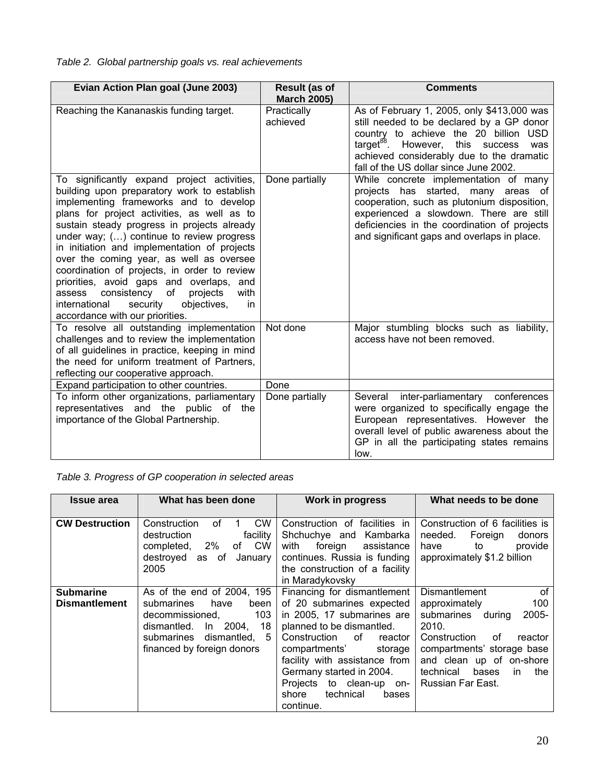# *Table 2. Global partnership goals vs. real achievements*

| Evian Action Plan goal (June 2003)                                                                                                                                                                                                                                                                                                                                                                                                                                                                                                                                                                           | <b>Result (as of</b><br><b>March 2005)</b> | <b>Comments</b>                                                                                                                                                                                                                                                                |
|--------------------------------------------------------------------------------------------------------------------------------------------------------------------------------------------------------------------------------------------------------------------------------------------------------------------------------------------------------------------------------------------------------------------------------------------------------------------------------------------------------------------------------------------------------------------------------------------------------------|--------------------------------------------|--------------------------------------------------------------------------------------------------------------------------------------------------------------------------------------------------------------------------------------------------------------------------------|
| Reaching the Kananaskis funding target.                                                                                                                                                                                                                                                                                                                                                                                                                                                                                                                                                                      | Practically<br>achieved                    | As of February 1, 2005, only \$413,000 was<br>still needed to be declared by a GP donor<br>country to achieve the 20 billion USD<br>$\text{target}^{88}$ . However, this success<br>was<br>achieved considerably due to the dramatic<br>fall of the US dollar since June 2002. |
| To significantly expand project activities,<br>building upon preparatory work to establish<br>implementing frameworks and to develop<br>plans for project activities, as well as to<br>sustain steady progress in projects already<br>under way; () continue to review progress<br>in initiation and implementation of projects<br>over the coming year, as well as oversee<br>coordination of projects, in order to review<br>priorities, avoid gaps and overlaps, and<br>consistency of<br>with<br>projects<br>assess<br>international<br>security<br>objectives,<br>in<br>accordance with our priorities. | Done partially                             | While concrete implementation of many<br>projects has started, many areas of<br>cooperation, such as plutonium disposition,<br>experienced a slowdown. There are still<br>deficiencies in the coordination of projects<br>and significant gaps and overlaps in place.          |
| To resolve all outstanding implementation<br>challenges and to review the implementation<br>of all guidelines in practice, keeping in mind<br>the need for uniform treatment of Partners,<br>reflecting our cooperative approach.                                                                                                                                                                                                                                                                                                                                                                            | Not done                                   | Major stumbling blocks such as liability,<br>access have not been removed.                                                                                                                                                                                                     |
| Expand participation to other countries.                                                                                                                                                                                                                                                                                                                                                                                                                                                                                                                                                                     | Done                                       |                                                                                                                                                                                                                                                                                |
| To inform other organizations, parliamentary<br>representatives and the public of the<br>importance of the Global Partnership.                                                                                                                                                                                                                                                                                                                                                                                                                                                                               | Done partially                             | Several<br>inter-parliamentary conferences<br>were organized to specifically engage the<br>European representatives. However the<br>overall level of public awareness about the<br>GP in all the participating states remains<br>low.                                          |

*Table 3. Progress of GP cooperation in selected areas* 

| <b>Issue area</b>                        | What has been done                                                                                                                                                                  | <b>Work in progress</b>                                                                                                                                                                                                                                                                                               | What needs to be done                                                                                                                                                                                                                            |
|------------------------------------------|-------------------------------------------------------------------------------------------------------------------------------------------------------------------------------------|-----------------------------------------------------------------------------------------------------------------------------------------------------------------------------------------------------------------------------------------------------------------------------------------------------------------------|--------------------------------------------------------------------------------------------------------------------------------------------------------------------------------------------------------------------------------------------------|
| <b>CW Destruction</b>                    | <b>CW</b><br>Construction<br>Ωf<br>facility<br>destruction<br>of CW<br>completed, 2%<br>destroyed<br>of<br>January<br>as<br>2005                                                    | Construction of<br>facilities in<br>Shchuchye and<br>Kambarka<br>foreign<br>with<br>assistance<br>continues. Russia is funding<br>the construction of a facility<br>in Maradykovsky                                                                                                                                   | Construction of 6 facilities is<br>needed.<br>Foreign<br>donors<br>provide<br>have<br>to<br>approximately \$1.2 billion                                                                                                                          |
| <b>Submarine</b><br><b>Dismantlement</b> | As of the end of 2004, 195<br>submarines<br>have<br>been<br>103<br>decommissioned.<br>dismantled.<br>ln 2004,<br>18<br>dismantled,<br>submarines<br>5<br>financed by foreign donors | Financing for dismantlement<br>of 20 submarines expected<br>in 2005, 17 submarines are<br>planned to be dismantled.<br>of<br>Construction<br>reactor<br>compartments'<br>storage<br>facility with assistance from<br>Germany started in 2004.<br>Projects to clean-up on-<br>technical<br>shore<br>bases<br>continue. | <b>Dismantlement</b><br>of<br>100<br>approximately<br>submarines<br>2005-<br>during<br>2010.<br>Construction<br>of<br>reactor<br>compartments' storage base<br>and clean up of on-shore<br>bases<br>technical<br>the<br>in.<br>Russian Far East. |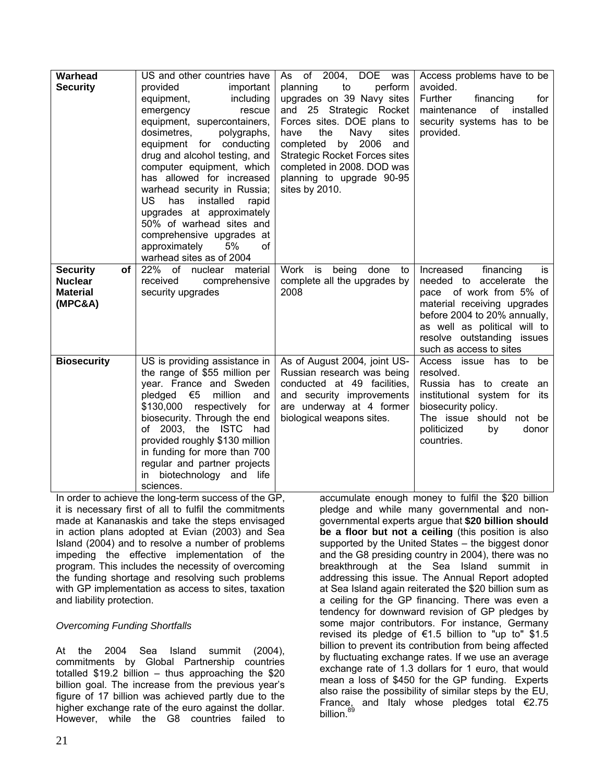| Warhead<br><b>Security</b>                                            | US and other countries have<br>provided<br>important<br>including<br>equipment,<br>emergency<br>rescue<br>equipment, supercontainers,<br>dosimetres,<br>polygraphs,<br>equipment for conducting<br>drug and alcohol testing, and<br>computer equipment, which<br>has allowed for increased<br>warhead security in Russia;<br>US.<br>has<br>installed<br>rapid<br>upgrades at approximately<br>50% of warhead sites and<br>comprehensive upgrades at<br>5%<br>approximately<br>of<br>warhead sites as of 2004 | As of 2004,<br><b>DOE</b><br>was<br>to<br>planning<br>perform<br>upgrades on 39 Navy sites<br>and 25 Strategic Rocket<br>Forces sites. DOE plans to<br>Navy<br>the<br>sites<br>have<br>by 2006<br>completed<br>and<br><b>Strategic Rocket Forces sites</b><br>completed in 2008. DOD was<br>planning to upgrade 90-95<br>sites by 2010. | Access problems have to be<br>avoided.<br>Further<br>financing<br>for<br>of installed<br>maintenance<br>security systems has to be<br>provided.                                                                                             |
|-----------------------------------------------------------------------|--------------------------------------------------------------------------------------------------------------------------------------------------------------------------------------------------------------------------------------------------------------------------------------------------------------------------------------------------------------------------------------------------------------------------------------------------------------------------------------------------------------|-----------------------------------------------------------------------------------------------------------------------------------------------------------------------------------------------------------------------------------------------------------------------------------------------------------------------------------------|---------------------------------------------------------------------------------------------------------------------------------------------------------------------------------------------------------------------------------------------|
| <b>Security</b><br>of<br><b>Nuclear</b><br><b>Material</b><br>(MPC&A) | 22% of nuclear material<br>received<br>comprehensive<br>security upgrades                                                                                                                                                                                                                                                                                                                                                                                                                                    | Work<br>is<br>being<br>done<br>to<br>complete all the upgrades by<br>2008                                                                                                                                                                                                                                                               | Increased<br>financing<br>is<br>needed to accelerate the<br>pace of work from 5% of<br>material receiving upgrades<br>before 2004 to 20% annually,<br>as well as political will to<br>resolve outstanding issues<br>such as access to sites |
| <b>Biosecurity</b>                                                    | US is providing assistance in<br>the range of \$55 million per<br>year. France and Sweden<br>pledged $€5$<br>million<br>and<br>\$130,000 respectively for<br>biosecurity. Through the end<br>of 2003, the ISTC<br>had<br>provided roughly \$130 million<br>in funding for more than 700<br>regular and partner projects<br>in biotechnology and<br>life<br>sciences.                                                                                                                                         | As of August 2004, joint US-<br>Russian research was being<br>conducted at 49 facilities,<br>and security improvements<br>are underway at 4 former<br>biological weapons sites.                                                                                                                                                         | Access issue has to be<br>resolved.<br>Russia has to create an<br>institutional system for its<br>biosecurity policy.<br>The issue should not be<br>politicized<br>by<br>donor<br>countries.                                                |

In order to achieve the long-term success of the GP, it is necessary first of all to fulfil the commitments made at Kananaskis and take the steps envisaged in action plans adopted at Evian (2003) and Sea Island (2004) and to resolve a number of problems impeding the effective implementation of the program. This includes the necessity of overcoming the funding shortage and resolving such problems with GP implementation as access to sites, taxation and liability protection.

### *Overcoming Funding Shortfalls*

At the 2004 Sea Island summit (2004), commitments by Global Partnership countries totalled \$19.2 billion – thus approaching the \$20 billion goal. The increase from the previous year's figure of 17 billion was achieved partly due to the higher exchange rate of the euro against the dollar. However, while the G8 countries failed to

accumulate enough money to fulfil the \$20 billion pledge and while many governmental and nongovernmental experts argue that **\$20 billion should be a floor but not a ceiling** (this position is also supported by the United States – the biggest donor and the G8 presiding country in 2004), there was no breakthrough at the Sea Island summit in addressing this issue. The Annual Report adopted at Sea Island again reiterated the \$20 billion sum as a ceiling for the GP financing. There was even a tendency for downward revision of GP pledges by some major contributors. For instance, Germany revised its pledge of  $\epsilon$ 1.5 billion to "up to" \$1.5 billion to prevent its contribution from being affected by fluctuating exchange rates. If we use an average exchange rate of 1.3 dollars for 1 euro, that would mean a loss of \$450 for the GP funding. Experts also raise the possibility of similar steps by the EU, France, and Italy whose pledges total €2.75 billion.<sup>[89](#page-32-51)</sup>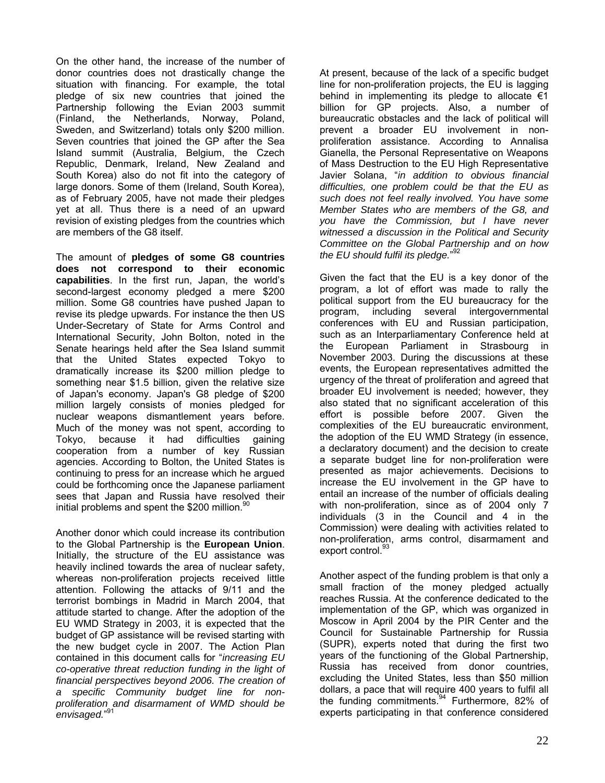On the other hand, the increase of the number of donor countries does not drastically change the situation with financing. For example, the total pledge of six new countries that joined the Partnership following the Evian 2003 summit (Finland, the Netherlands, Norway, Poland, Sweden, and Switzerland) totals only \$200 million. Seven countries that joined the GP after the Sea Island summit (Australia, Belgium, the Czech Republic, Denmark, Ireland, New Zealand and South Korea) also do not fit into the category of large donors. Some of them (Ireland, South Korea), as of February 2005, have not made their pledges yet at all. Thus there is a need of an upward revision of existing pledges from the countries which are members of the G8 itself.

The amount of **pledges of some G8 countries does not correspond to their economic capabilities**. In the first run, Japan, the world's second-largest economy pledged a mere \$200 million. Some G8 countries have pushed Japan to revise its pledge upwards. For instance the then US Under-Secretary of State for Arms Control and International Security, John Bolton, noted in the Senate hearings held after the Sea Island summit that the United States expected Tokyo to dramatically increase its \$200 million pledge to something near \$1.5 billion, given the relative size of Japan's economy. Japan's G8 pledge of \$200 million largely consists of monies pledged for nuclear weapons dismantlement years before. Much of the money was not spent, according to Tokyo, because it had difficulties gaining cooperation from a number of key Russian agencies. According to Bolton, the United States is continuing to press for an increase which he argued could be forthcoming once the Japanese parliament sees that Japan and Russia have resolved their initial problems and spent the \$200 million.<sup>[90](#page-32-28)</sup>

Another donor which could increase its contribution to the Global Partnership is the **European Union**. Initially, the structure of the EU assistance was heavily inclined towards the area of nuclear safety, whereas non-proliferation projects received little attention. Following the attacks of 9/11 and the terrorist bombings in Madrid in March 2004, that attitude started to change. After the adoption of the EU WMD Strategy in 2003, it is expected that the budget of GP assistance will be revised starting with the new budget cycle in 2007. The Action Plan contained in this document calls for "*increasing EU co-operative threat reduction funding in the light of financial perspectives beyond 2006. The creation of a specific Community budget line for nonproliferation and disarmament of WMD should be envisaged.*" [91](#page-32-29)

At present, because of the lack of a specific budget line for non-proliferation projects, the EU is lagging behind in implementing its pledge to allocate  $\epsilon$ 1 billion for GP projects. Also, a number of bureaucratic obstacles and the lack of political will prevent a broader EU involvement in nonproliferation assistance. According to Annalisa Gianella, the Personal Representative on Weapons of Mass Destruction to the EU High Representative Javier Solana, "*in addition to obvious financial difficulties, one problem could be that the EU as such does not feel really involved. You have some Member States who are members of the G8, and you have the Commission, but I have never witnessed a discussion in the Political and Security Committee on the Global Partnership and on how the EU should fulfil its pledge.*" [92](#page-32-52) 

Given the fact that the EU is a key donor of the program, a lot of effort was made to rally the political support from the EU bureaucracy for the program, including several intergovernmental conferences with EU and Russian participation, such as an Interparliamentary Conference held at the European Parliament in Strasbourg in November 2003. During the discussions at these events, the European representatives admitted the urgency of the threat of proliferation and agreed that broader EU involvement is needed; however, they also stated that no significant acceleration of this effort is possible before 2007. Given the complexities of the EU bureaucratic environment, the adoption of the EU WMD Strategy (in essence, a declaratory document) and the decision to create a separate budget line for non-proliferation were presented as major achievements. Decisions to increase the EU involvement in the GP have to entail an increase of the number of officials dealing with non-proliferation, since as of 2004 only 7 individuals (3 in the Council and 4 in the Commission) were dealing with activities related to non-proliferation, arms control, disarmament and export control.<sup>[93](#page-32-65)</sup>

Another aspect of the funding problem is that only a small fraction of the money pledged actually reaches Russia. At the conference dedicated to the implementation of the GP, which was organized in Moscow in April 2004 by the PIR Center and the Council for Sustainable Partnership for Russia (SUPR), experts noted that during the first two years of the functioning of the Global Partnership, Russia has received from donor countries, excluding the United States, less than \$50 million dollars, a pace that will require 400 years to fulfil all thefunding commitments.<sup>94</sup> Furthermore, 82% of experts participating in that conference considered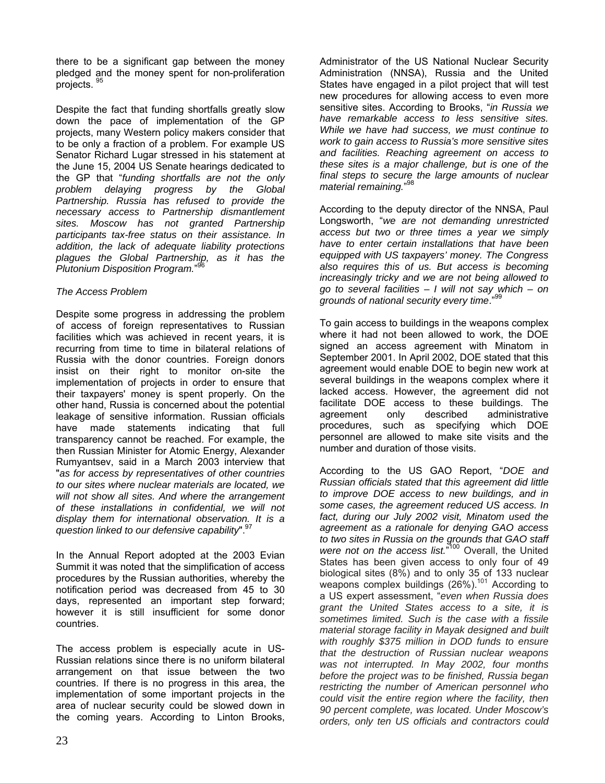there to be a significant gap between the money pledged and the money spent for non-proliferation projects. [95](#page-32-66)

Despite the fact that funding shortfalls greatly slow down the pace of implementation of the GP projects, many Western policy makers consider that to be only a fraction of a problem. For example US Senator Richard Lugar stressed in his statement at the June 15, 2004 US Senate hearings dedicated to the GP that "*funding shortfalls are not the only problem delaying progress by the Global Partnership. Russia has refused to provide the necessary access to Partnership dismantlement sites. Moscow has not granted Partnership participants tax-free status on their assistance. In addition, the lack of adequate liability protections plagues the Global Partnership, as it has the Plutonium Disposition Program.*" [96](#page-32-37)

### *The Access Problem*

Despite some progress in addressing the problem of access of foreign representatives to Russian facilities which was achieved in recent years, it is recurring from time to time in bilateral relations of Russia with the donor countries. Foreign donors insist on their right to monitor on-site the implementation of projects in order to ensure that their taxpayers' money is spent properly. On the other hand, Russia is concerned about the potential leakage of sensitive information. Russian officials have made statements indicating that full transparency cannot be reached. For example, the then Russian Minister for Atomic Energy, Alexander Rumyantsev, said in a March 2003 interview that "*as for access by representatives of other countries to our sites where nuclear materials are located, we will not show all sites. And where the arrangement of these installations in confidential, we will not display them for international observation. It is a question linked to our defensive capability*".

In the Annual Report adopted at the 2003 Evian Summit it was noted that the simplification of access procedures by the Russian authorities, whereby the notification period was decreased from 45 to 30 days, represented an important step forward; however it is still insufficient for some donor countries.

The access problem is especially acute in US-Russian relations since there is no uniform bilateral arrangement on that issue between the two countries. If there is no progress in this area, the implementation of some important projects in the area of nuclear security could be slowed down in the coming years. According to Linton Brooks,

Administrator of the US National Nuclear Security Administration (NNSA), Russia and the United States have engaged in a pilot project that will test new procedures for allowing access to even more sensitive sites. According to Brooks, "*in Russia we have remarkable access to less sensitive sites. While we have had success, we must continue to work to gain access to Russia's more sensitive sites and facilities. Reaching agreement on access to these sites is a major challenge, but is one of the final steps to secure the large amounts of nuclear material remaining.*" [98](#page-32-39)

According to the deputy director of the NNSA, Paul Longsworth, "*we are not demanding unrestricted access but two or three times a year we simply have to enter certain installations that have been equipped with US taxpayers' money. The Congress also requires this of us. But access is becoming increasingly tricky and we are not being allowed to go to several facilities – I will not say which – on grounds of national security every time.*"

To gain access to buildings in the weapons complex where it had not been allowed to work, the DOE signed an access agreement with Minatom in September 2001. In April 2002, DOE stated that this agreement would enable DOE to begin new work at several buildings in the weapons complex where it lacked access. However, the agreement did not facilitate DOE access to these buildings. The agreement only described administrative procedures, such as specifying which DOE personnel are allowed to make site visits and the number and duration of those visits.

According to the US GAO Report, "*DOE and Russian officials stated that this agreement did little to improve DOE access to new buildings, and in some cases, the agreement reduced US access. In fact, during our July 2002 visit, Minatom used the agreement as a rationale for denying GAO access to two sites in Russia on the grounds that GAO staff were not on the access list.*" [100](#page-32-67) Overall, the United States has been given access to only four of 49 biological sites (8%) and to only 35 of 133 nuclear weapons complex buildings  $(26\%)$ <sup>101</sup> According to a US expert assessment, "*even when Russia does grant the United States access to a site, it is sometimes limited. Such is the case with a fissile material storage facility in Mayak designed and built with roughly \$375 million in DOD funds to ensure that the destruction of Russian nuclear weapons was not interrupted. In May 2002, four months before the project was to be finished, Russia began restricting the number of American personnel who could visit the entire region where the facility, then 90 percent complete, was located. Under Moscow's orders, only ten US officials and contractors could*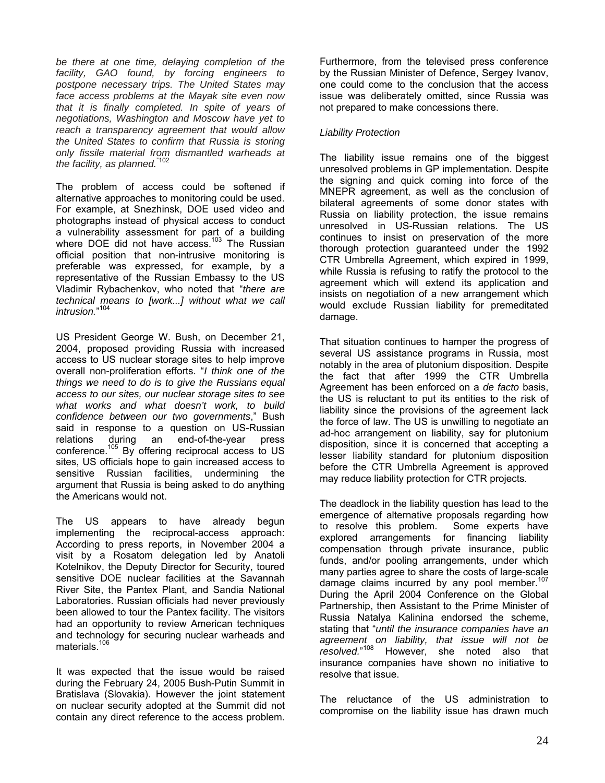*be there at one time, delaying completion of the facility, GAO found, by forcing engineers to postpone necessary trips. The United States may face access problems at the Mayak site even now that it is finally completed. In spite of years of negotiations, Washington and Moscow have yet to reach a transparency agreement that would allow the United States to confirm that Russia is storing only fissile material from dismantled warheads at the facility, as planned.*"[102](#page-32-69) 

The problem of access could be softened if alternative approaches to monitoring could be used. For example, at Snezhinsk, DOE used video and photographs instead of physical access to conduct a vulnerability assessment for part of a building where DOE did not have access.<sup>103</sup> The Russian official position that non-intrusive monitoring is preferable was expressed, for example, by a representative of the Russian Embassy to the US Vladimir Rybachenkov, who noted that "*there are technical means to [work...] without what we call intrusion.*" [104](#page-32-71)

US President George W. Bush, on December 21, 2004, proposed providing Russia with increased access to US nuclear storage sites to help improve overall non-proliferation efforts. "*I think one of the things we need to do is to give the Russians equal access to our sites, our nuclear storage sites to see what works and what doesn't work, to build confidence between our two governments*," Bush said in response to a question on US-Russian relations during an end-of-the-year press conference.<sup>105</sup> By offering reciprocal access to US sites, US officials hope to gain increased access to sensitive Russian facilities, undermining the argument that Russia is being asked to do anything the Americans would not.

The US appears to have already begun implementing the reciprocal-access approach: According to press reports, in November 2004 a visit by a Rosatom delegation led by Anatoli Kotelnikov, the Deputy Director for Security, toured sensitive DOE nuclear facilities at the Savannah River Site, the Pantex Plant, and Sandia National Laboratories. Russian officials had never previously been allowed to tour the Pantex facility. The visitors had an opportunity to review American techniques and technology for securing nuclear warheads and materials.<sup>[106](#page-32-73)</sup>

It was expected that the issue would be raised during the February 24, 2005 Bush-Putin Summit in Bratislava (Slovakia). However the joint statement on nuclear security adopted at the Summit did not contain any direct reference to the access problem.

Furthermore, from the televised press conference by the Russian Minister of Defence, Sergey Ivanov, one could come to the conclusion that the access issue was deliberately omitted, since Russia was not prepared to make concessions there.

### *Liability Protection*

The liability issue remains one of the biggest unresolved problems in GP implementation. Despite the signing and quick coming into force of the MNEPR agreement, as well as the conclusion of bilateral agreements of some donor states with Russia on liability protection, the issue remains unresolved in US-Russian relations. The US continues to insist on preservation of the more thorough protection guaranteed under the 1992 CTR Umbrella Agreement, which expired in 1999, while Russia is refusing to ratify the protocol to the agreement which will extend its application and insists on negotiation of a new arrangement which would exclude Russian liability for premeditated damage.

That situation continues to hamper the progress of several US assistance programs in Russia, most notably in the area of plutonium disposition. Despite the fact that after 1999 the CTR Umbrella Agreement has been enforced on a *de facto* basis, the US is reluctant to put its entities to the risk of liability since the provisions of the agreement lack the force of law. The US is unwilling to negotiate an ad-hoc arrangement on liability, say for plutonium disposition, since it is concerned that accepting a lesser liability standard for plutonium disposition before the CTR Umbrella Agreement is approved may reduce liability protection for CTR projects*.*

The deadlock in the liability question has lead to the emergence of alternative proposals regarding how to resolve this problem. Some experts have explored arrangements for financing liability compensation through private insurance, public funds, and/or pooling arrangements, under which many parties agree to share the costs of large-scale damage claims incurred by any pool member. $107$ During the April 2004 Conference on the Glo[bal](#page-32-74) Partnership, then Assistant to the Prime Minister of Russia Natalya Kalinina endorsed the scheme, stating that "*until the insurance companies have an agreement on liability, that issue will not be resolved.*" [108](#page-32-75) However, she noted also that insurance companies have shown no initiative to resolve that issue.

The reluctance of the US administration to compromise on the liability issue has drawn much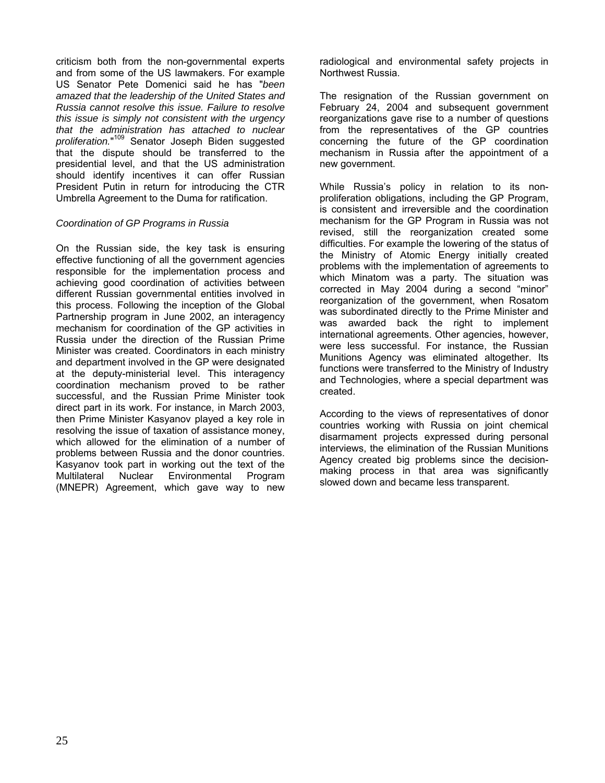criticism both from the non-governmental experts and from some of the US lawmakers. For example US Senator Pete Domenici said he has "*been amazed that the leadership of the United States and Russia cannot resolve this issue. Failure to resolve this issue is simply not consistent with the urgency that the administration has attached to nuclear proliferation.*" [109](#page-32-76) Senator Joseph Biden suggested that the dispute should be transferred to the presidential level, and that the US administration should identify incentives it can offer Russian President Putin in return for introducing the CTR Umbrella Agreement to the Duma for ratification.

### *Coordination of GP Programs in Russia*

On the Russian side, the key task is ensuring effective functioning of all the government agencies responsible for the implementation process and achieving good coordination of activities between different Russian governmental entities involved in this process. Following the inception of the Global Partnership program in June 2002, an interagency mechanism for coordination of the GP activities in Russia under the direction of the Russian Prime Minister was created. Coordinators in each ministry and department involved in the GP were designated at the deputy-ministerial level. This interagency coordination mechanism proved to be rather successful, and the Russian Prime Minister took direct part in its work. For instance, in March 2003, then Prime Minister Kasyanov played a key role in resolving the issue of taxation of assistance money, which allowed for the elimination of a number of problems between Russia and the donor countries. Kasyanov took part in working out the text of the Multilateral Nuclear Environmental Program (MNEPR) Agreement, which gave way to new

radiological and environmental safety projects in Northwest Russia.

The resignation of the Russian government on February 24, 2004 and subsequent government reorganizations gave rise to a number of questions from the representatives of the GP countries concerning the future of the GP coordination mechanism in Russia after the appointment of a new government.

While Russia's policy in relation to its nonproliferation obligations, including the GP Program, is consistent and irreversible and the coordination mechanism for the GP Program in Russia was not revised, still the reorganization created some difficulties. For example the lowering of the status of the Ministry of Atomic Energy initially created problems with the implementation of agreements to which Minatom was a party. The situation was corrected in May 2004 during a second "minor" reorganization of the government, when Rosatom was subordinated directly to the Prime Minister and was awarded back the right to implement international agreements. Other agencies, however, were less successful. For instance, the Russian Munitions Agency was eliminated altogether. Its functions were transferred to the Ministry of Industry and Technologies, where a special department was created.

According to the views of representatives of donor countries working with Russia on joint chemical disarmament projects expressed during personal interviews, the elimination of the Russian Munitions Agency created big problems since the decisionmaking process in that area was significantly slowed down and became less transparent.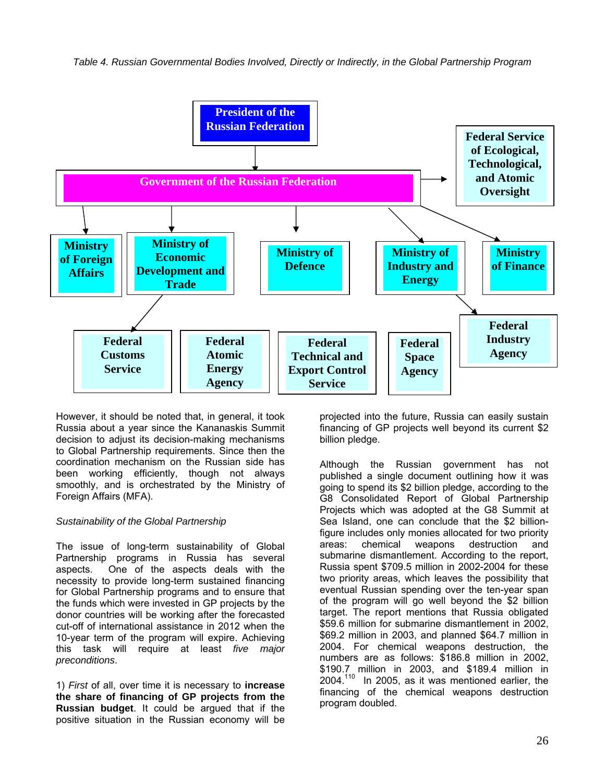

However, it should be noted that, in general, it took Russia about a year since the Kananaskis Summit decision to adjust its decision-making mechanisms to Global Partnership requirements. Since then the coordination mechanism on the Russian side has been working efficiently, though not always smoothly, and is orchestrated by the Ministry of Foreign Affairs (MFA).

### *Sustainability of the Global Partnership*

The issue of long-term sustainability of Global Partnership programs in Russia has several aspects. One of the aspects deals with the necessity to provide long-term sustained financing for Global Partnership programs and to ensure that the funds which were invested in GP projects by the donor countries will be working after the forecasted cut-off of international assistance in 2012 when the 10-year term of the program will expire. Achieving this task will require at least *five major preconditions*.

1) *First* of all, over time it is necessary to **increase the share of financing of GP projects from the Russian budget**. It could be argued that if the positive situation in the Russian economy will be

projected into the future, Russia can easily sustain financing of GP projects well beyond its current \$2 billion pledge.

Although the Russian government has not published a single document outlining how it was going to spend its \$2 billion pledge, according to the G8 Consolidated Report of Global Partnership Projects which was adopted at the G8 Summit at Sea Island, one can conclude that the \$2 billionfigure includes only monies allocated for two priority areas: chemical weapons destruction and submarine dismantlement. According to the report, Russia spent \$709.5 million in 2002-2004 for these two priority areas, which leaves the possibility that eventual Russian spending over the ten-year span of the program will go well beyond the \$2 billion target. The report mentions that Russia obligated \$59.6 million for submarine dismantlement in 2002, \$69.2 million in 2003, and planned \$64.7 million in 2004. For chemical weapons destruction, the numbers are as follows: \$186.8 million in 2002, \$190.7 million in 2003, and \$189.4 million in  $2004.<sup>110</sup>$  In 2005, as it was mentioned earlier, the financing of the chemical weapons destruction program doubled.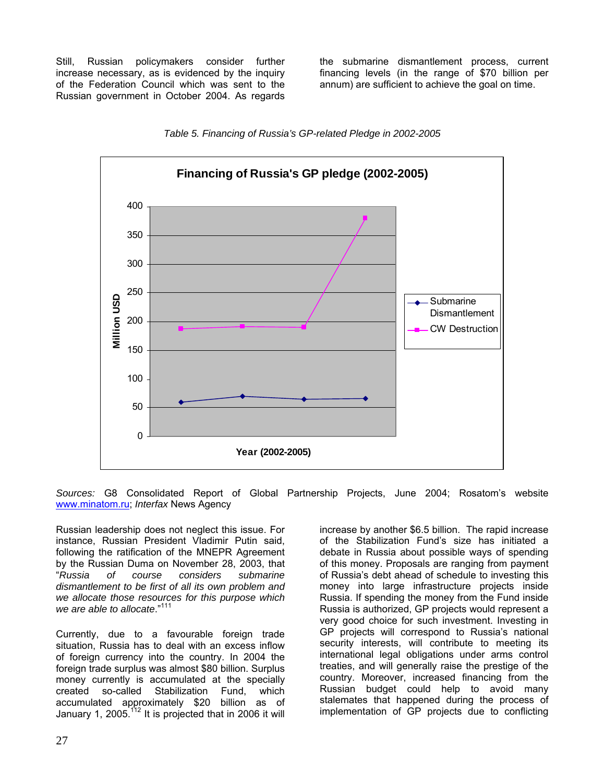Still, Russian policymakers consider further increase necessary, as is evidenced by the inquiry of the Federation Council which was sent to the Russian government in October 2004. As regards

the submarine dismantlement process, current financing levels (in the range of \$70 billion per annum) are sufficient to achieve the goal on time.





*Sources:* G8 Consolidated Report of Global Partnership Projects, June 2004; Rosatom's website [www.minatom.ru](http://www.minatom.ru/); *Interfax* News Agency

Russian leadership does not neglect this issue. For instance, Russian President Vladimir Putin said, following the ratification of the MNEPR Agreement by the Russian Duma on November 28, 2003, that "*Russia of course considers submarine dismantlement to be first of all its own problem and we allocate those resources for this purpose which we are able to allocate*."111

Currently, due to a favourable foreign trade situation, Russia has to deal with an excess inflow of foreign currency into the country. In 2004 the foreign trade surplus was almost \$80 billion. Surplus money currently is accumulated at the specially created so-called Stabilization Fund, which accumulated approximately \$20 billion as of January 1, 2005.<sup>112</sup> It is projected that in 2006 it will

increase by another \$6.5 billion. The rapid increase of the Stabilization Fund's size has initiated a debate in Russia about possible ways of spending of this money. Proposals are ranging from payment of Russia's debt ahead of schedule to investing this money into large infrastructure projects inside Russia. If spending the money from the Fund inside Russia is authorized, GP projects would represent a very good choice for such investment. Investing in GP projects will correspond to Russia's national security interests, will contribute to meeting its international legal obligations under arms control treaties, and will generally raise the prestige of the country. Moreover, increased financing from the Russian budget could help to avoid many stalemates that happened during the process of implementation of GP projects due to conflicting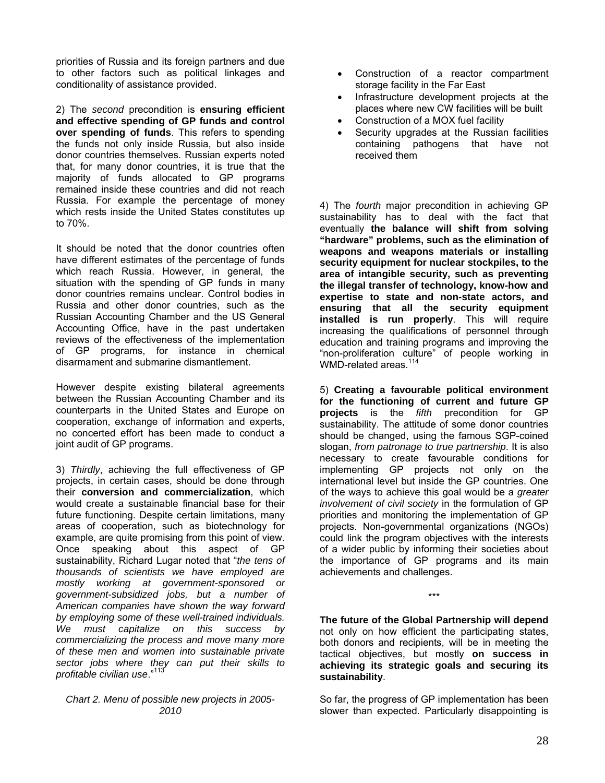priorities of Russia and its foreign partners and due to other factors such as political linkages and conditionality of assistance provided.

2) The *second* precondition is **ensuring efficient and effective spending of GP funds and control over spending of funds**. This refers to spending the funds not only inside Russia, but also inside donor countries themselves. Russian experts noted that, for many donor countries, it is true that the majority of funds allocated to GP programs remained inside these countries and did not reach Russia. For example the percentage of money which rests inside the United States constitutes up to 70%.

It should be noted that the donor countries often have different estimates of the percentage of funds which reach Russia. However, in general, the situation with the spending of GP funds in many donor countries remains unclear. Control bodies in Russia and other donor countries, such as the Russian Accounting Chamber and the US General Accounting Office, have in the past undertaken reviews of the effectiveness of the implementation of GP programs, for instance in chemical disarmament and submarine dismantlement.

However despite existing bilateral agreements between the Russian Accounting Chamber and its counterparts in the United States and Europe on cooperation, exchange of information and experts, no concerted effort has been made to conduct a joint audit of GP programs.

3) *Thirdly*, achieving the full effectiveness of GP projects, in certain cases, should be done through their **conversion and commercialization**, which would create a sustainable financial base for their future functioning. Despite certain limitations, many areas of cooperation, such as biotechnology for example, are quite promising from this point of view. Once speaking about this aspect of GP sustainability, Richard Lugar noted that "*the tens of thousands of scientists we have employed are mostly working at government-sponsored or government-subsidized jobs, but a number of American companies have shown the way forward by employing some of these well-trained individuals. We must capitalize on this success by commercializing the process and move many more of these men and women into sustainable private sector jobs where they can put their skills to profitable civilian use*."113

#### *Chart 2. Menu of possible new projects in 2005- 2010*

- Construction of a reactor compartment storage facility in the Far East
- Infrastructure development projects at the places where new CW facilities will be built
- Construction of a MOX fuel facility
- Security upgrades at the Russian facilities containing pathogens that have not received them

4) The *fourth* major precondition in achieving GP sustainability has to deal with the fact that eventually **the balance will shift from solving "hardware" problems, such as the elimination of weapons and weapons materials or installing security equipment for nuclear stockpiles, to the area of intangible security, such as preventing the illegal transfer of technology, know-how and expertise to state and non-state actors, and ensuring that all the security equipment installed is run properly**. This will require increasing the qualifications of personnel through education and training programs and improving the "non-proliferation culture" of people working in WMD-related areas.<sup>114</sup>

5) **Creating a favourable political environment for the functioning of current and future GP projects** is the *fifth* precondition for GP sustainability. The attitude of some donor countries should be changed, using the famous SGP-coined slogan, *from patronage to true partnership*. It is also necessary to create favourable conditions for implementing GP projects not only on the international level but inside the GP countries. One of the ways to achieve this goal would be a *greater involvement of civil society* in the formulation of GP priorities and monitoring the implementation of GP projects. Non-governmental organizations (NGOs) could link the program objectives with the interests of a wider public by informing their societies about the importance of GP programs and its main achievements and challenges.

**The future of the Global Partnership will depend** not only on how efficient the participating states, both donors and recipients, will be in meeting the tactical objectives, but mostly **on success in achieving its strategic goals and securing its sustainability**.

\*\*\*

So far, the progress of GP implementation has been slower than expected. Particularly disappointing is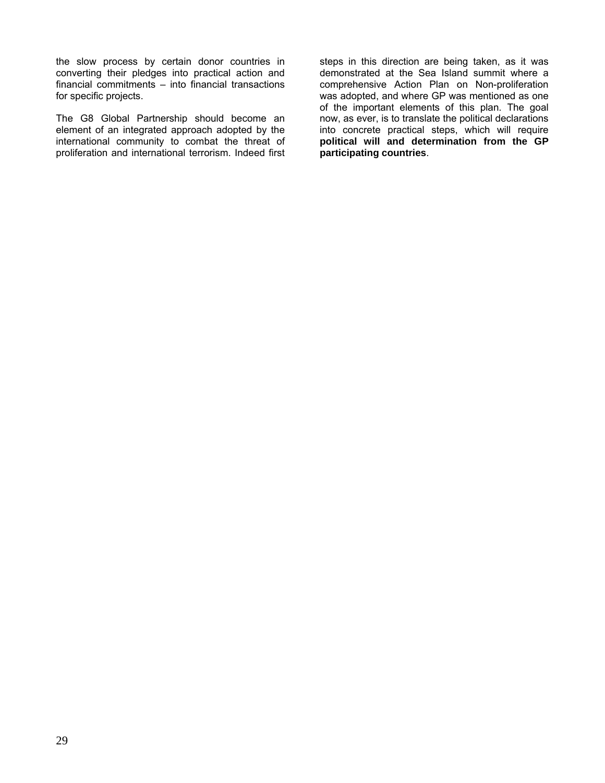the slow process by certain donor countries in converting their pledges into practical action and financial commitments – into financial transactions for specific projects.

The G8 Global Partnership should become an element of an integrated approach adopted by the international community to combat the threat of proliferation and international terrorism. Indeed first steps in this direction are being taken, as it was demonstrated at the Sea Island summit where a comprehensive Action Plan on Non-proliferation was adopted, and where GP was mentioned as one of the important elements of this plan. The goal now, as ever, is to translate the political declarations into concrete practical steps, which will require **political will and determination from the GP participating countries**.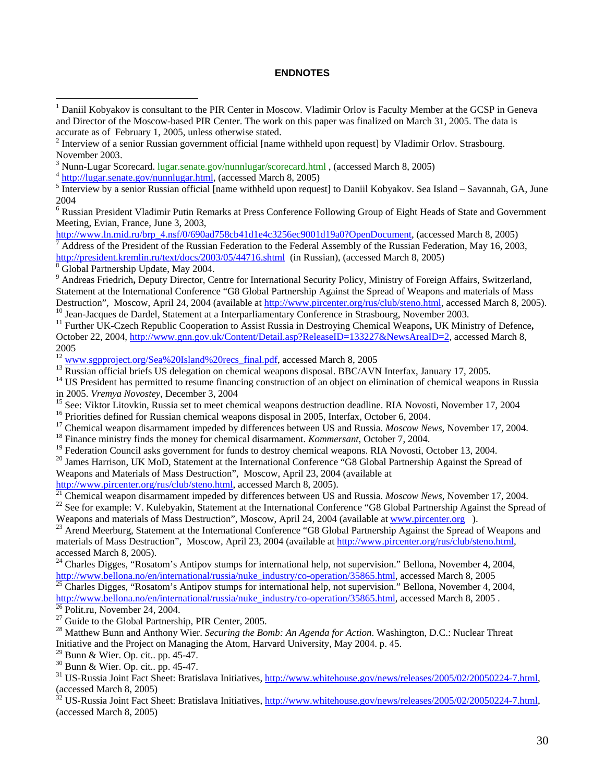#### **ENDNOTES**

 $4 \frac{\text{http://lugar.senate.gov/number.html}}{\text{http://lugar.senate.gov/number.html}}$ , (accessed March 8, 2005)

<sup>6</sup> Russian President Vladimir Putin Remarks at Press Conference Following Group of Eight Heads of State and Government Meeting, Evian, France, June 3, 2003,

[http://www.ln.mid.ru/brp\\_4.nsf/0/690ad758cb41d1e4c3256ec9001d19a0?OpenDocument,](http://www.ln.mid.ru/brp_4.nsf/0/690ad758cb41d1e4c3256ec9001d19a0?OpenDocument) (accessed March 8, 2005) Address of the President of the Russian Federation to the Federal Assembly of the Russian Federation, May 16, 2003, <http://president.kremlin.ru/text/docs/2003/05/44716.shtml>(in Russian), (accessed March 8, 2005)  $\frac{8}{8}$  Global Partnership Update. May 2004.

 $\overline{a}$ 

<sup>9</sup> Andreas Friedrich, Deputy Director, Centre for International Security Policy, Ministry of Foreign Affairs, Switzerland, Statement at the International Conference "G8 Global Partnership Against the Spread of Weapons and materials of Mass Destruction", Moscow, April 24, 2004 (available at [http://www.pircenter.org/rus/club/steno.html,](http://www.pircenter.org/rus/club/steno.html) accessed March 8, 2005).<br><sup>10</sup> Jean-Jacques de Dardel, Statement at a Interparliamentary Conference in Strasbourg, November 20

October 22, 2004, [http://www.gnn.gov.uk/Content/Detail.asp?ReleaseID=133227&NewsAreaID=2,](http://www.gnn.gov.uk/Content/Detail.asp?ReleaseID=133227&NewsAreaID=2) accessed March 8, 2005<br><sup>12</sup> www.sgpproject.org/Sea%20Island%20recs\_final.pdf, accessed March 8, 2005

<sup>13</sup> Russian official briefs US delegation on chemical weapons disposal. BBC/AVN Interfax, January 17, 2005.<br><sup>14</sup> US President has permitted to resume financing construction of an object on elimination of chemical weapons

<sup>15</sup> See: Viktor Litovkin, Russia set to meet chemical weapons destruction deadline. RIA Novosti, November 17, 2004<br><sup>16</sup> Priorities defined for Russian chemical weapons disposal in 2005, Interfax, October 6, 2004.<br><sup>17</sup> Ch

Weapons and Materials of Mass Destruction", Moscow, April 23, 2004 (available at http://www.pircenter.org/rus/club/steno.html, accessed March 8, 2005).

<sup>[21](http://www.pircenter.org/rus/club/steno.html)</sup> Chemical weapon disarmament impeded by differences between US and Russia. *Moscow News*, November 17, 2004.<br><sup>22</sup> See for example: V. Kulebyakin, Statement at the International Conference "G8 Global Partnership Agains

 $^{23}$  Arend Meerburg, Statement at the International Conference "G8 Global Partnership Against the Spread of Weapons and materials of Mass Destruction", Moscow, April 23, 2004 (available at<http://www.pircenter.org/rus/club/steno.html>,

accessed March 8, 2005).<br><sup>24</sup> Charles Digges, "Rosatom's Antipov stumps for international help, not supervision." Bellona, November 4, 2004,<br>http://www.bellona.no/en/international/russia/nuke\_industry/co-operation/35865.ht

<sup>[25](http://www.bellona.no/en/international/russia/nuke_industry/co-operation/35865.html)</sup> Charles Digges, "Rosatom's Antipov stumps for international help, not supervision." Bellona, November 4, 2004,  $\frac{http://www.bellona.no/en/international/russia/nuke_indextry/co-operation/35865.html}$ , accessed March 8, 2005.

<sup>[26](http://www.bellona.no/en/international/russia/nuke_industry/co-operation/35865.html)</sup> Polit.ru, November 24, 2004.<br><sup>27</sup> Guide to the Global Partnership, PIR Center, 2005.<br><sup>28</sup> Matthew Bunn and Anthony Wier. *Securing the Bomb: An Agenda for Action*. Washington, D.C.: Nuclear Threat Initiative and the

<sup>29</sup> Bunn & Wier. Op. cit.. pp. 45-47.<br><sup>30</sup> Bunn & Wier. Op. cit.. pp. 45-47.<br><sup>31</sup> US-Russia Joint Fact Sheet: Bratislava Initiatives,<http://www.whitehouse.gov/news/releases/2005/02/20050224-7.html>. (accessed March 8, 2005)<br><sup>32</sup> US-Russia Joint Fact Sheet: Bratislava Initiatives,<http://www.whitehouse.gov/news/releases/2005/02/20050224-7.html>,

(accessed March 8, 2005)

<sup>&</sup>lt;sup>1</sup> Daniil Kobyakov is consultant to the PIR Center in Moscow. Vladimir Orlov is Faculty Member at the GCSP in Geneva and Director of the Moscow-based PIR Center. The work on this paper was finalized on March 31, 2005. The data is accurate as of February 1, 2005, unless otherwise stated. 2

<sup>&</sup>lt;sup>2</sup> Interview of a senior Russian government official [name withheld upon request] by Vladimir Orlov. Strasbourg. November 2003.<br><sup>3</sup> Nunn-Lugar Scorecard. lugar.senate.gov/nunnlugar/scorecard.html, (accessed March 8, 2005)

 $<sup>5</sup>$  Interview by a senior Russian official [name withheld upon request] to Daniil Kobyakov. Sea Island – Savannah, GA, June</sup> 2004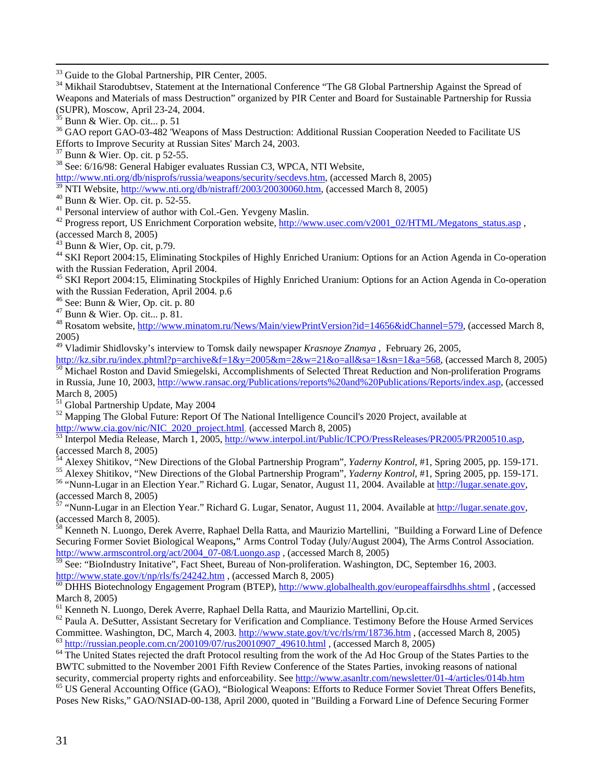<sup>33</sup> Guide to the Global Partnership, PIR Center, 2005.<br><sup>34</sup> Mikhail Starodubtsev, Statement at the International Conference "The G8 Global Partnership Against the Spread of Weapons and Materials of mass Destruction" organized by PIR Center and Board for Sustainable Partnership for Russia

(SUPR), Moscow, April 23-24, 2004.<br><sup>35</sup> Bunn & Wier. Op. cit... p. 51<br><sup>36</sup> GAO report GAO-03-482 'Weapons of Mass Destruction: Additional Russian Cooperation Needed to Facilitate US<br>Efforts to Improve Security at Russian S

<sup>37</sup> Bunn & Wier. Op. cit. p 52-55.<br><sup>38</sup> See: 6/16/98: General Habiger evaluates Russian C3, WPCA, NTI Website,

<http://www.nti.org/db/nisprofs/russia/weapons/security/secdevs.htm>, (accessed March 8, 2005)<br><sup>39</sup> NTI Website, <u>http://www.nti.org/db/nistraff/2003/20030060.htm</u>, (accessed March 8, 2005)

<sup>40</sup> Bunn & Wier. Op. cit. p. 52-55.<br>
<sup>41</sup> Personal interview of author with Col.-Gen. Yevgeny Maslin.<br>
<sup>42</sup> Progress report, US Enrichment Corporation website, <u>http://www.usec.com/v2001\_02/HTML/Megatons\_status.asp</u>,<br>
(a

<sup>44</sup> SKI Report 2004:15, Eliminating Stockpiles of Highly Enriched Uranium: Options for an Action Agenda in Co-operation with the Russian Federation. April 2004.

<sup>45</sup> SKI Report 2004:15, Eliminating Stockpiles of Highly Enriched Uranium: Options for an Action Agenda in Co-operation with the Russian Federation, April 2004. p.6<br>
<sup>46</sup> See: Bunn & Wier, Op. cit., p. 80<br>
<sup>47</sup> Bunn & Wier. Op. cit.., p. 81.<br>
<sup>48</sup> Rosatom website, [http://www.minatom.ru/News/Main/viewPrintVersion?id=14656&idChannel=579,](http://www.minatom.ru/News/Main/viewPrintVersion?id=14656&idChannel=579) (acc

2005)

<sup>49</sup> Vladimir Shidlovsky's interview to Tomsk daily newspaper *Krasnoye Znamya*, February 26, 2005,<br>http://kz.sibr.ru/index.phtml?p=archive&f=1&y=2005&m=2&w=21&o=all&sa=1&sn=1&a=568, (accessed March 8, 2005)

 $\frac{1}{50}$  Michael Roston and David Smiegelski, Accomplishments of Selected Threat Reduction and Non-proliferation Programs in Russia, June 10, 2003, [http://www.ransac.org/Publications/reports%20and%20Publications/Reports/index.asp,](http://www.ransac.org/Publications/reports and Publications/Reports/index.asp) (accessed

March 8, 2005)<br>
<sup>51</sup> Global Partnership Update, May 2004<br>
<sup>52</sup> Mapping The Global Future: Report Of The National Intelligence Council's 2020 Project, available at<br>
http://www.cia.gov/nic/NIC\_2020\_project.html, (accessed Ma

[http://www.cia.gov/nic/NIC\\_2020\\_project.html](http://www.cia.gov/nic/NIC_2020_project.html), (accessed March 6, 2005) 53 Interpol.jpm<br>Butterpol Media Release, March 1, 2005, <http://www.interpol.int/Public/ICPO/PressReleases/PR2005/PR200510.asp>,

(accessed March 8, 2005)<br><sup>54</sup> Alexey Shitikov, "New Directions of the Global Partnership Program", *Yaderny Kontrol*, #1, [Spring 2005, pp. 159-1](http://lugar.senate.gov/)71.<br><sup>55</sup> Alexey Shitikov, "New Directions of the Global Partnership Program",

(accessed March 8, 2005)<br>
<sup>57</sup> "Nunn-Lugar in an Election Year." Richard G. Lugar, Senator, August 11, 2004. Available at [http://lugar.senate.gov,](http://lugar.senate.gov/)

(accessed March 8, 2005).<br><sup>58</sup> Kenneth N. Luongo, Derek Averre, Raphael Della Ratta, and Maurizio Martellini, "Building a Forward Line of Defence

Securing Former Soviet Biological Weapons**,"** Arms Control Today (July/August 2004), The Arms Control Association. http://www.armscontrol.org/act/2004\_07-08/Luongo.asp, (accessed March 8, 2005)

 $\frac{1}{59}$  See: "BioIndustry Initative", Fact Sheet, Bureau of Non-proliferation. Washington, DC, September 16, 2003.<br>http://www.state.gov/t/np/rls/fs/24242.htm , (accessed March 8, 2005)

 $\overline{60}$  $\overline{60}$  $\overline{60}$  DHHS Biotechnology Engagement Program (BTEP), <http://www.globalhealth.gov/europeaffairsdhhs.shtml> , (accessed March 8, 2005)<br><sup>61</sup> Kenneth N. Luongo, Derek Averre, Raphael Della Ratta, and Maurizio Martellini, Op.cit.<br><sup>62</sup> Paula A. DeSutter, Assistant Secretary for Verification and Compliance. Testimony Before the House Armed Serv

Committee. Washington, DC, March 4, 2003. <http://www.state.gov/t/vc/rls/rm/18736.htm> , (accessed March 8, 2005)<br>
<sup>63</sup> http://russian.people.com.cn/200109/07/rus20010907 49610.html , (accessed March 8, 2005)<br>
<sup>64</sup> The Unite

BWTC submitted to the November 2001 Fifth Review Conference of the States Parties, invoking reasons of national security, commercial property rights and enforceability. See http://www.asanltr.com/newsletter/01-4/articles/0

<sup>65</sup> US General Accounting Office (GAO), "Biological Weapons: Efforts to Reduce Former Soviet Threat Offers Benefits, Poses New Risks," GAO/NSIAD-00-138, April 2000, quoted in "Building a Forward Line of Defence Securing Former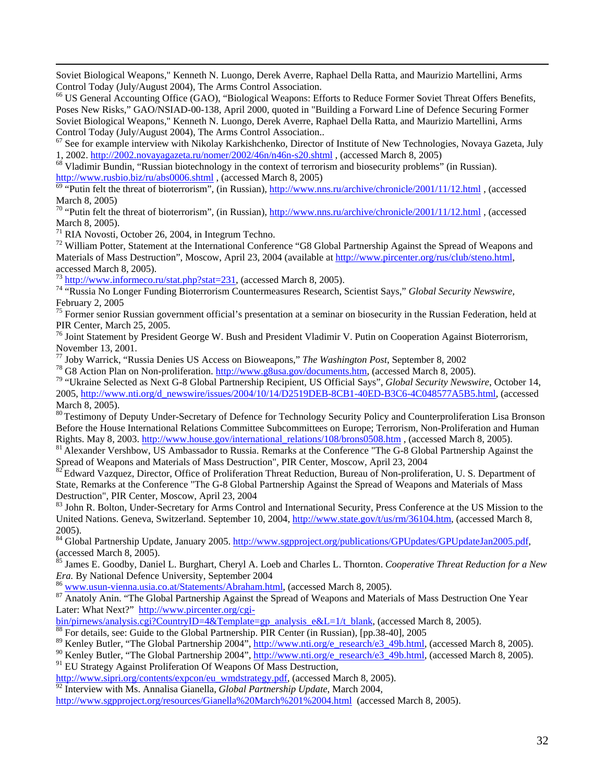Soviet Biological Weapons," Kenneth N. Luongo, Derek Averre, Raphael Della Ratta, and Maurizio Martellini, Arms Control Today (July/August 2004), The Arms Control Association.<br><sup>66</sup> US General Accounting Office (GAO), "Biological Weapons: Efforts to Reduce Former Soviet Threat Offers Benefits,

Poses New Risks," GAO/NSIAD-00-138, April 2000, quoted in "Building a Forward Line of Defence Securing Former Soviet Biological Weapons," Kenneth N. Luongo, Derek Averre, Raphael Della Ratta, and Maurizio Martellini, Arms Control Today (July/August 2004), The Arms Control Association.. 67 See for example interview with Nikolay Karkishchenko, Director of Institute of New Technologies, Novaya Gazeta, July

1, 2002. <http://2002.novayagazeta.ru/nomer/2002/46n/n46n-s20.shtml>, (accessed March 8, 2005)<br><sup>68</sup> Vladimir Bundin, "Russian biotechnology in the context of terrorism and biosecurity problems" (in Russian).

<http://www.rusbio.biz/ru/abs0006.shtml> , (accessed March 8, 2005)<br><sup>[69](http://www.rusbio.biz/ru/abs0006.shtml)</sup> "Putin felt the threat of bioterrorism", (in Russian), <http://www.nns.ru/archive/chronicle/2001/11/12.html>, (accessed

March 8, 2005)<br><sup>70</sup> "Putin felt the threat of bioterrorism", (in Russian), http://www.nns.ru/archive/chronicle/2001/11/12.html, (accessed

March 8, 2005).<br><sup>71</sup> RIA Novosti, October 26, 2004, in Integrum Techno.<br><sup>72</sup> William Potter, Statement at the International Conference "G8 Global Partnership Against the Spread of Weapons and

Materials of Mass Destruction", Moscow, April 23, 2004 (available at [http://www.pircenter.org/rus/club/steno.html,](http://www.pircenter.org/rus/club/steno.html) accessed March 8, 2005). 73 [http://www.informeco.ru/stat.php?stat=231,](http://www.informeco.ru/stat.php?stat=231) (accessed March 8, 2005). 74 "Russia No Longer Funding Bioterrorism Countermeasures Research, Scientist Says," *Global Security Newswire,*

February 2, 2005<br><sup>75</sup> Former senior Russian government official's presentation at a seminar on biosecurity in the Russian Federation, held at

PIR Center, March 25, 2005.<br><sup>76</sup> Joint Statement by President George W. Bush and President Vladimir V. Putin on Cooperation Against Bioterrorism,<br>November 13, 2001.

<sup>77</sup> Joby Warrick, "Russia Denies US Access on Bioweapons," *The Washington Post*, September 8, 2002<br><sup>78</sup> G8 Action Plan on Non-proliferation. [http://www.g8usa.gov/documents.htm,](http://www.g8usa.gov/) (accessed March 8, 2005).<br><sup>79</sup> "Ukraine Se

2005, [http://www.nti.org/d\\_newswire/issues/2004/10/14/D2519DEB-8CB1-40ED-B3C6-4C048577A5B5.html,](http://www.nti.org/d_newswire/issues/2004/10/14/D2519DEB-8CB1-40ED-B3C6-4C048577A5B5.html) (accessed March 8, 2005).<br><sup>80</sup> Testimony of Deputy Under-Secretary of Defence for Technology Security Policy and Counterproliferation Lisa Bronson

Before the House International Relations Committee Subcommittees on Europe; Terrorism, Non-Proliferation and Human Rights. May 8, 2003. http://www.house.gov/international relations/108/brons0508.htm , (accessed March 8, 2005).<br><sup>81</sup> Alexander Vershbow, US Ambassador to Russia. Remarks at the Conference "The G-8 Global Partnership Agains

Spread of Weapons and Materials of Mass Destruction", PIR Center, Moscow, April 23, 2004<br><sup>82</sup> Edward Vazquez, Director, Office of Proliferation Threat Reduction, Bureau of Non-proliferation, U. S. Department of

State, Remarks at the Conference "The G-8 Global Partnership Against the Spread of Weapons and Materials of Mass

Destruction", PIR Center, Moscow, April 23, 2004<br><sup>83</sup> John R. Bolton, Under-Secretary for Arms Control and International Security, Press Conference at the US Mission to the United Nations. Geneva, Switzerland. September 10, 2004, [http://www.state.gov/t/us/rm/36104.htm,](http://www.state.gov/t/us/rm/36104.htm) (accessed March 8,

2005).<br><sup>84</sup> Global Partnership Update, January 2005.<http://www.sgpproject.org/publications/GPUpdates/GPUpdateJan2005.pdf>,

(accessed March 8, 2005).<br><sup>85</sup> James E. Goodby, Daniel L. Burghart, Cheryl A. Loeb and Charles L. Thornton. *Cooperative Threat Reduction for a New*<br>*Era*. By National Defence University, September 2004

<sup>86</sup> [www.usun-vienna.usia.co.at/Statements/Abraham.html](http://www.usun-vienna.usia.co.at/Statements/Abraham.html), (accessed March 8, 2005).<br><sup>87</sup> Anatoly Anin. "The Global Partnership Against the Spread of Weapons and Materials of Mass Destruction One Year Later: What Next?" http://www.pircenter.org/cgi-<br>bin/pirnews/analysis.cgi?CountryID=4&Template=gp analysis e&L=1/t blank, (accessed March 8, 2005).

<sup>88</sup> For details, see: Guide to the Global Partnership. PIR Center (in Russian), [pp. 38-40], 2005<br><sup>89</sup> Kenley Butler, "The Global Partnership 2004", http://www.nti.org/e\_research/e3\_49b.html, (accessed March 8, 2005).

<sup>90</sup> Kenley Butler, "The Global Partnership 2004",  $\frac{http://www.nti.org/e-research/e3-49b.html}{http://www.nti.org/e-research/e3-49b.html}$ , (accessed March 8, 2005).

 $91$  EU Strategy Against Proliferation Of Weapons Of Mass Destruction,

[http://www.sipri.org/contents/expcon/eu\\_wmdstrategy.pdf,](http://www.sipri.org/contents/expcon/eu_wmdstrategy.pdf) (accessed March 8, 2005).

<sup>92</sup> Interview with Ms. Annalisa Gianella, *Global Partnership Update*, March 2004,

[http://www.sgpproject.org/resources/Gianella%20March%201%2004.html](http://www.sgpproject.org/resources/Gianella March 1 04.html) (accessed March 8, 2005).